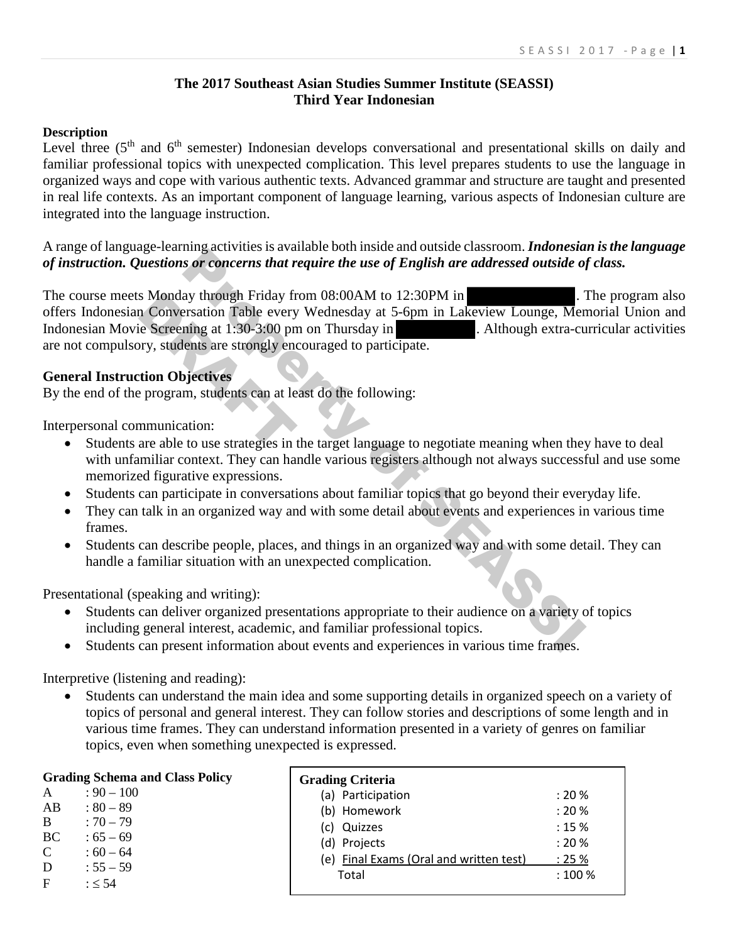## **The 2017 Southeast Asian Studies Summer Institute (SEASSI) Third Year Indonesian**

## **Description**

Level three (5<sup>th</sup> and 6<sup>th</sup> semester) Indonesian develops conversational and presentational skills on daily and familiar professional topics with unexpected complication. This level prepares students to use the language in organized ways and cope with various authentic texts. Advanced grammar and structure are taught and presented in real life contexts. As an important component of language learning, various aspects of Indonesian culture are integrated into the language instruction.

A range of language-learning activities is available both inside and outside classroom. *Indonesian is the language of instruction. Questions or concerns that require the use of English are addressed outside of class.* 

The course meets Monday through Friday from 08:00AM to 12:30PM in . The program also offers Indonesian Conversation Table every Wednesday at 5-6pm in Lakeview Lounge, Memorial Union and Indonesian Movie Screening at 1:30-3:00 pm on Thursday in . Although extra-curricular activities are not compulsory, students are strongly encouraged to participate. may activities a solution of the tisse and other and other and other and other and other and other property through Friday from 08:00AM to 12:30PM in a reddressed outside of English are addressed outside of systems at 5-6p S Monday through Friday fr<br>
n Conversation Table every<br>
ie Screening at 1:30-3:00 pn<br>
ory, students are strongly encorporation<br>
objectives<br>
program, students can at le<br>
mmunication:<br>
are able to use strategies in

## **General Instruction Objectives**

By the end of the program, students can at least do the following:

Interpersonal communication:

- Students are able to use strategies in the target language to negotiate meaning when they have to deal with unfamiliar context. They can handle various registers although not always successful and use some memorized figurative expressions.
- Students can participate in conversations about familiar topics that go beyond their everyday life.
- They can talk in an organized way and with some detail about events and experiences in various time frames.
- Students can describe people, places, and things in an organized way and with some detail. They can handle a familiar situation with an unexpected complication.

Presentational (speaking and writing):

- Students can deliver organized presentations appropriate to their audience on a variety of topics including general interest, academic, and familiar professional topics.
- Students can present information about events and experiences in various time frames.

Interpretive (listening and reading):

• Students can understand the main idea and some supporting details in organized speech on a variety of topics of personal and general interest. They can follow stories and descriptions of some length and in various time frames. They can understand information presented in a variety of genres on familiar topics, even when something unexpected is expressed.

|             | <b>Grading Schema and Class Policy</b> | <b>Grading Criteria</b>                 |         |
|-------------|----------------------------------------|-----------------------------------------|---------|
| A           | $: 90 - 100$                           | (a) Participation                       | : 20%   |
| AB          | $: 80 - 89$                            | (b) Homework                            | : 20%   |
| B           | $:70 - 79$                             | (c) Quizzes                             | : 15%   |
| <b>BC</b>   | $:65-69$                               | (d) Projects                            | : 20%   |
| $\mathbf C$ | $:60 - 64$                             | (e) Final Exams (Oral and written test) | : 25%   |
| D           | $: 55 - 59$                            | Total                                   | : 100 % |
| $\mathbf F$ | : 54                                   |                                         |         |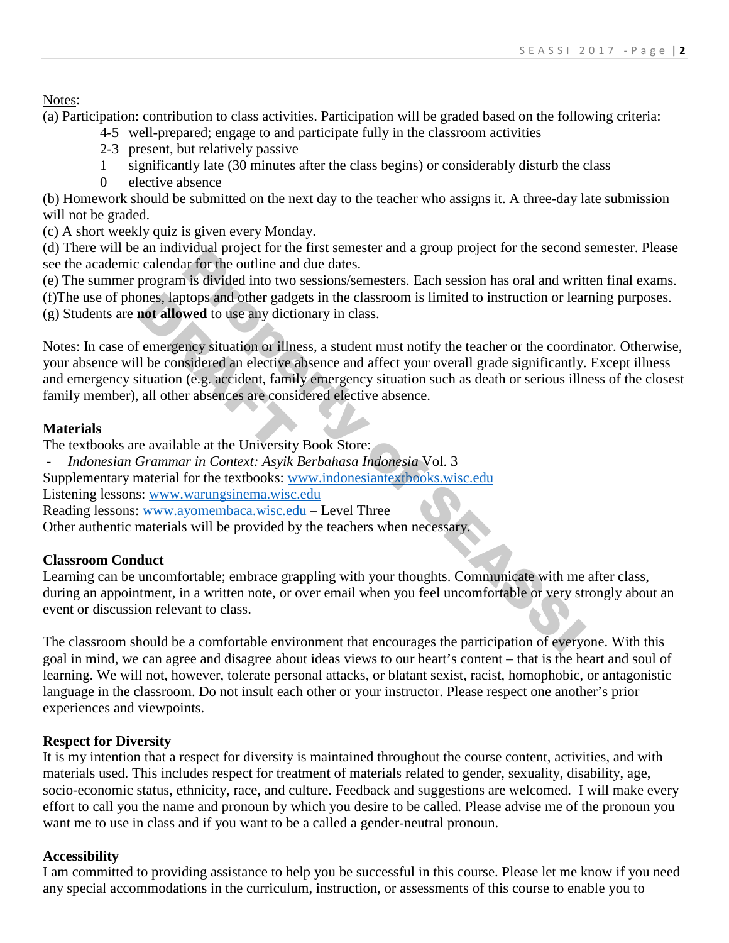Notes:

(a) Participation: contribution to class activities. Participation will be graded based on the following criteria:

- 4-5 well-prepared; engage to and participate fully in the classroom activities
- 2-3 present, but relatively passive
- 1 significantly late (30 minutes after the class begins) or considerably disturb the class
- 0 elective absence

(b) Homework should be submitted on the next day to the teacher who assigns it. A three-day late submission will not be graded.

(c) A short weekly quiz is given every Monday.

(d) There will be an individual project for the first semester and a group project for the second semester. Please see the academic calendar for the outline and due dates.

(e) The summer program is divided into two sessions/semesters. Each session has oral and written final exams. (f)The use of phones, laptops and other gadgets in the classroom is limited to instruction or learning purposes. (g) Students are **not allowed** to use any dictionary in class.

Notes: In case of emergency situation or illness, a student must notify the teacher or the coordinator. Otherwise, your absence will be considered an elective absence and affect your overall grade significantly. Except illness and emergency situation (e.g. accident, family emergency situation such as death or serious illness of the closest family member), all other absences are considered elective absence. What project to the intst senescer and a group project for the second is<br>ar for the outline and due dates.<br>The state is divided into two sessions/semesters. Each session has oral and writ<br>dotops and other gadgets in the c ones, laptops and other gadg<br>
not allowed to use any dicti<br>
i emergency situation or illn<br>
il be considered an elective<br>
ituation (e.g. accident, fami<br>
all other absences are consi<br>
e available at the University

# **Materials**

The textbooks are available at the University Book Store:

- *Indonesian Grammar in Context: Asyik Berbahasa Indonesia* Vol. 3

Supplementary material for the textbooks: www.indonesiantextbooks.wisc.edu

Listening lessons: [www.warungsinema.wisc.edu](http://www.warungsinema.wisc.edu/)

Reading lessons: [www.ayomembaca.wisc.edu](http://www.ayomembaca.wisc.edu/) – Level Three

Other authentic materials will be provided by the teachers when necessary.

# **Classroom Conduct**

Learning can be uncomfortable; embrace grappling with your thoughts. Communicate with me after class, during an appointment, in a written note, or over email when you feel uncomfortable or very strongly about an event or discussion relevant to class.

The classroom should be a comfortable environment that encourages the participation of everyone. With this goal in mind, we can agree and disagree about ideas views to our heart's content – that is the heart and soul of learning. We will not, however, tolerate personal attacks, or blatant sexist, racist, homophobic, or antagonistic language in the classroom. Do not insult each other or your instructor. Please respect one another's prior experiences and viewpoints.

# **Respect for Diversity**

It is my intention that a respect for diversity is maintained throughout the course content, activities, and with materials used. This includes respect for treatment of materials related to gender, sexuality, disability, age, socio-economic status, ethnicity, race, and culture. Feedback and suggestions are welcomed. I will make every effort to call you the name and pronoun by which you desire to be called. Please advise me of the pronoun you want me to use in class and if you want to be a called a gender-neutral pronoun.

# **Accessibility**

I am committed to providing assistance to help you be successful in this course. Please let me know if you need any special accommodations in the curriculum, instruction, or assessments of this course to enable you to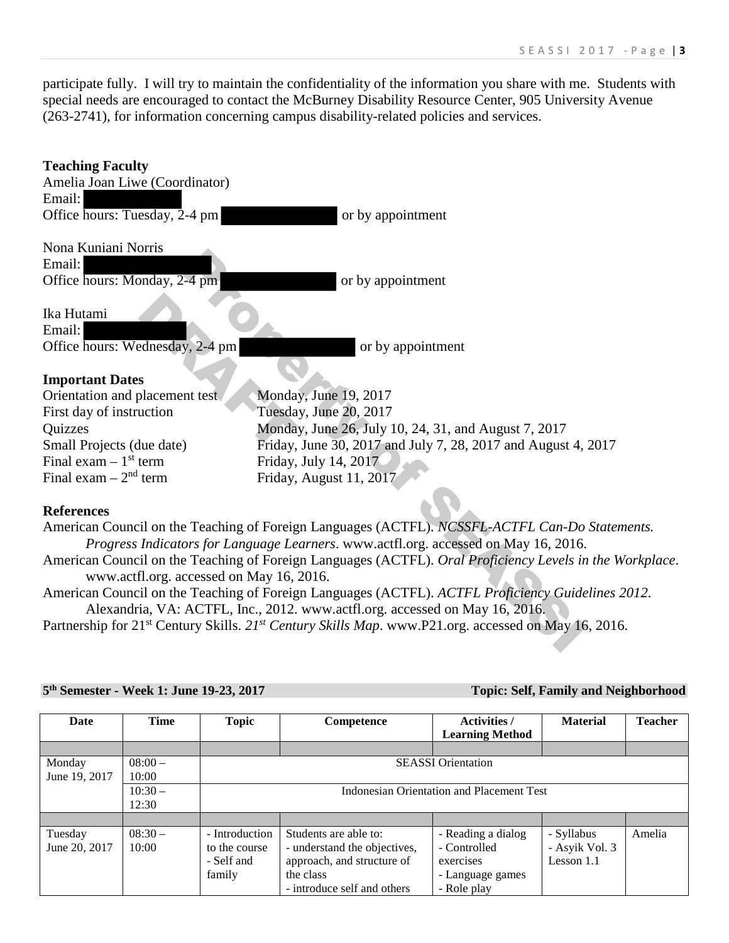participate fully. I will try to maintain the confidentiality of the information you share with me. Students with special needs are encouraged to contact the McBurney Disability Resource Center, 905 University Avenue (263-2741), for information concerning campus disability-related policies and services.

| <b>Teaching Faculty</b>                  |                                                                                                                                                                                  |
|------------------------------------------|----------------------------------------------------------------------------------------------------------------------------------------------------------------------------------|
| Amelia Joan Liwe (Coordinator)           |                                                                                                                                                                                  |
| Email:                                   |                                                                                                                                                                                  |
| Office hours: Tuesday, 2-4 pm            | or by appointment                                                                                                                                                                |
| Nona Kuniani Norris                      |                                                                                                                                                                                  |
| Email:                                   |                                                                                                                                                                                  |
| Office hours: Monday, 2-4 pm             | or by appointment                                                                                                                                                                |
| Ika Hutami                               |                                                                                                                                                                                  |
| Email:                                   |                                                                                                                                                                                  |
| Office hours: Wednesday, 2-4 pm          | or by appointment                                                                                                                                                                |
|                                          |                                                                                                                                                                                  |
| <b>Important Dates</b>                   |                                                                                                                                                                                  |
| Orientation and placement test.          | Monday, June 19, 2017                                                                                                                                                            |
| First day of instruction                 | Tuesday, June 20, 2017                                                                                                                                                           |
| Quizzes                                  | Monday, June 26, July 10, 24, 31, and August 7, 2017                                                                                                                             |
| Small Projects (due date)                | Friday, June 30, 2017 and July 7, 28, 2017 and August 4, 2017                                                                                                                    |
| Final exam $-1$ <sup>st</sup> term       | Friday, July 14, 2017                                                                                                                                                            |
| Final exam $-2nd$ term                   | Friday, August 11, 2017                                                                                                                                                          |
|                                          |                                                                                                                                                                                  |
| <b>References</b>                        |                                                                                                                                                                                  |
|                                          | American Council on the Teaching of Foreign Languages (ACTFL). NCSSFL-ACTFL Can-Do Statements.                                                                                   |
|                                          | Progress Indicators for Language Learners. www.actfl.org. accessed on May 16, 2016.                                                                                              |
| www.actfl.org. accessed on May 16, 2016. | American Council on the Teaching of Foreign Languages (ACTFL). Oral Proficiency Levels in the Workplace                                                                          |
|                                          | American Council on the Teaching of Foreign Languages (ACTFL). ACTFL Proficiency Guidelines 2012.<br>Alexandria, VA: ACTFL, Inc., 2012. www.actfl.org. accessed on May 16, 2016. |
|                                          | Partnership for 21 <sup>st</sup> Century Skills. 21 <sup>st</sup> Century Skills Map. www.P21.org. accessed on May 16, 2016.                                                     |
|                                          |                                                                                                                                                                                  |
|                                          |                                                                                                                                                                                  |
|                                          |                                                                                                                                                                                  |

## **5th Semester - Week 1: June 19-23, 2017 Topic: Self, Family and Neighborhood**

| Date          | Time     | <b>Topic</b>   | Competence                   | <b>Activities</b> /<br><b>Learning Method</b> | <b>Material</b> | <b>Teacher</b> |
|---------------|----------|----------------|------------------------------|-----------------------------------------------|-----------------|----------------|
|               |          |                |                              |                                               |                 |                |
| Monday        | $08:00-$ |                |                              | <b>SEASSI</b> Orientation                     |                 |                |
| June 19, 2017 | 10:00    |                |                              |                                               |                 |                |
|               | $10:30-$ |                |                              | Indonesian Orientation and Placement Test     |                 |                |
|               | 12:30    |                |                              |                                               |                 |                |
|               |          |                |                              |                                               |                 |                |
| Tuesday       | $08:30-$ | - Introduction | Students are able to:        | - Reading a dialog                            | - Syllabus      | Amelia         |
| June 20, 2017 | 10:00    | to the course  | - understand the objectives, | - Controlled                                  | - Asyik Vol. 3  |                |
|               |          | - Self and     | approach, and structure of   | exercises                                     | Lesson $1.1$    |                |
|               |          | family         | the class                    | - Language games                              |                 |                |
|               |          |                | - introduce self and others  | - Role play                                   |                 |                |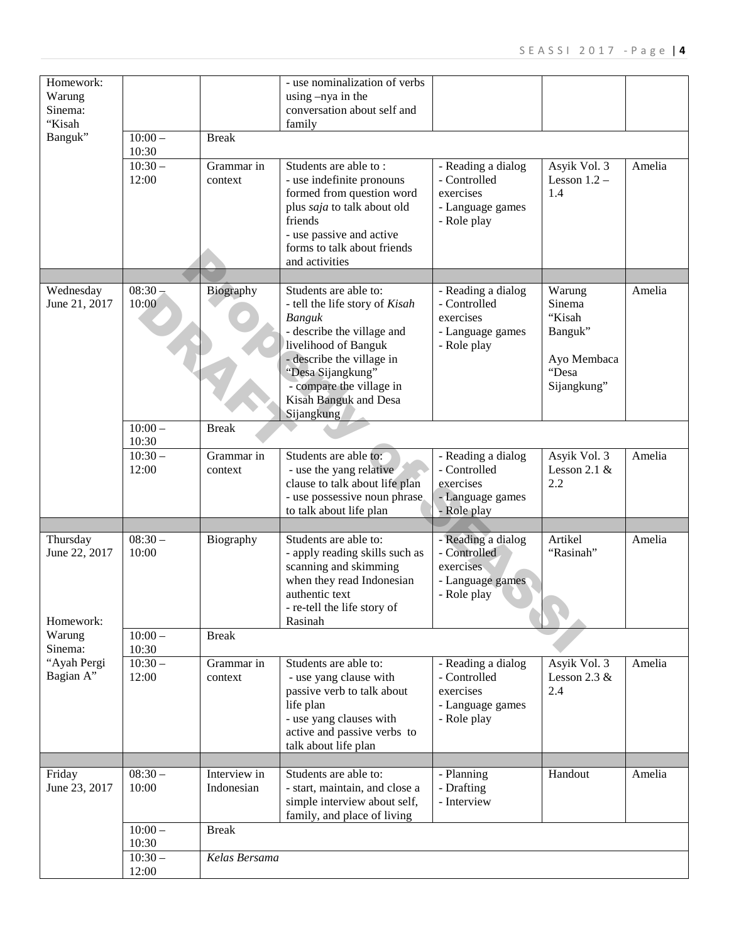| Homework:<br>Warung<br>Sinema:<br>"Kisah |                    |                       | - use nominalization of verbs<br>using -nya in the<br>conversation about self and<br>family                                                                                                                                                  |                                                                                    |                                                                              |        |
|------------------------------------------|--------------------|-----------------------|----------------------------------------------------------------------------------------------------------------------------------------------------------------------------------------------------------------------------------------------|------------------------------------------------------------------------------------|------------------------------------------------------------------------------|--------|
| Banguk"                                  | $10:00-$<br>10:30  | <b>Break</b>          |                                                                                                                                                                                                                                              |                                                                                    |                                                                              |        |
|                                          | $10:30-$<br>12:00  | Grammar in<br>context | Students are able to:<br>- use indefinite pronouns<br>formed from question word<br>plus saja to talk about old<br>friends<br>- use passive and active<br>forms to talk about friends<br>and activities                                       | - Reading a dialog<br>- Controlled<br>exercises<br>- Language games<br>- Role play | Asyik Vol. 3<br>Lesson $1.2 -$<br>1.4                                        | Amelia |
| Wednesday<br>June 21, 2017               | $08:30-$<br>10:00  | Biography             | Students are able to:<br>- tell the life story of Kisah<br>Banguk<br>- describe the village and<br>livelihood of Banguk<br>- describe the village in<br>"Desa Sijangkung"<br>- compare the village in<br>Kisah Banguk and Desa<br>Sijangkung | - Reading a dialog<br>- Controlled<br>exercises<br>- Language games<br>- Role play | Warung<br>Sinema<br>"Kisah<br>Banguk"<br>Ayo Membaca<br>"Desa<br>Sijangkung" | Amelia |
|                                          | $10:00 -$<br>10:30 | <b>Break</b>          |                                                                                                                                                                                                                                              |                                                                                    |                                                                              |        |
|                                          | $10:30-$<br>12:00  | Grammar in<br>context | Students are able to:<br>- use the yang relative<br>clause to talk about life plan<br>- use possessive noun phrase<br>to talk about life plan                                                                                                | - Reading a dialog<br>- Controlled<br>exercises<br>- Language games<br>- Role play | Asyik Vol. 3<br>Lesson 2.1 $&$<br>2.2                                        | Amelia |
|                                          |                    |                       |                                                                                                                                                                                                                                              |                                                                                    |                                                                              |        |
| Thursday<br>June 22, 2017<br>Homework:   | $08:30-$<br>10:00  | Biography             | Students are able to:<br>- apply reading skills such as<br>scanning and skimming<br>when they read Indonesian<br>authentic text<br>- re-tell the life story of<br>Rasinah                                                                    | - Reading a dialog<br>- Controlled<br>exercises<br>- Language games<br>- Role play | Artikel<br>"Rasinah"                                                         | Amelia |
| Warung<br>Sinema:                        | $10:00 -$<br>10:30 | <b>Break</b>          |                                                                                                                                                                                                                                              |                                                                                    |                                                                              |        |
| "Ayah Pergi<br>Bagian A"                 | $10:30-$<br>12:00  | Grammar in<br>context | Students are able to:<br>- use yang clause with<br>passive verb to talk about<br>life plan<br>- use yang clauses with<br>active and passive verbs to<br>talk about life plan                                                                 | - Reading a dialog<br>- Controlled<br>exercises<br>- Language games<br>- Role play | Asyik Vol. 3<br>Lesson $2.3 \&$<br>2.4                                       | Amelia |
| Friday                                   | $08:30-$           | Interview in          | Students are able to:                                                                                                                                                                                                                        | - Planning                                                                         | Handout                                                                      | Amelia |
| June 23, 2017                            | 10:00              | Indonesian            | - start, maintain, and close a<br>simple interview about self,<br>family, and place of living                                                                                                                                                | - Drafting<br>- Interview                                                          |                                                                              |        |
|                                          | $10:00 -$<br>10:30 | <b>Break</b>          |                                                                                                                                                                                                                                              |                                                                                    |                                                                              |        |
|                                          | $10:30-$<br>12:00  | Kelas Bersama         |                                                                                                                                                                                                                                              |                                                                                    |                                                                              |        |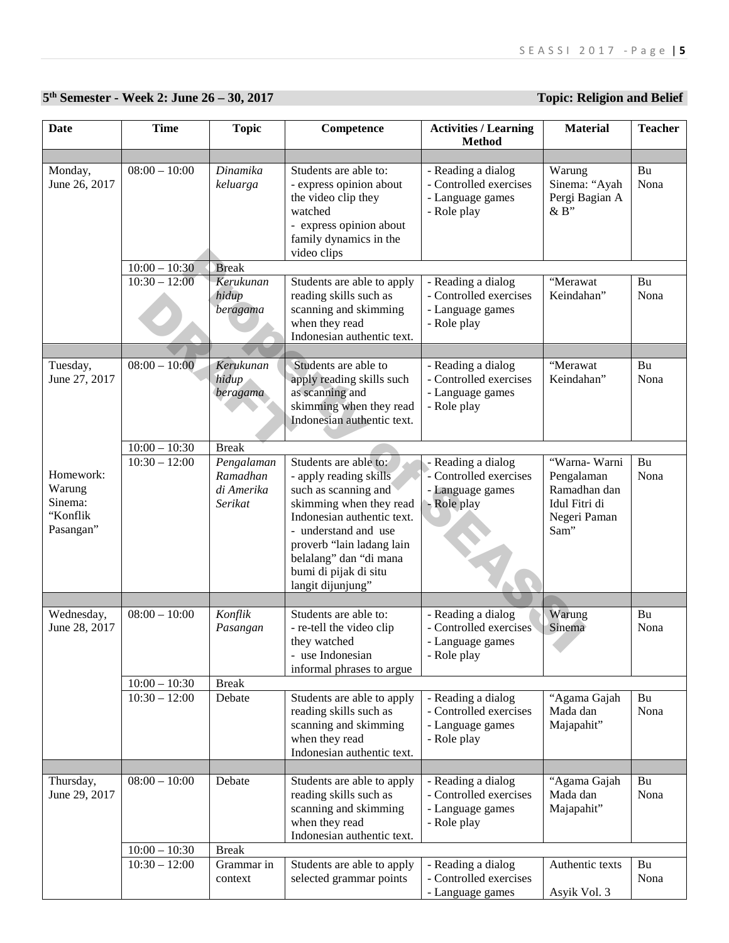# **5th Semester - Week 2: June 26 – 30, 2017 Topic: Religion and Belief**

| <b>Date</b>                                             | <b>Time</b>                | <b>Topic</b>                                    | Competence                                                                                                                                                                                                                                                    | <b>Activities / Learning</b>                                                    | <b>Material</b>                                                                      | <b>Teacher</b> |
|---------------------------------------------------------|----------------------------|-------------------------------------------------|---------------------------------------------------------------------------------------------------------------------------------------------------------------------------------------------------------------------------------------------------------------|---------------------------------------------------------------------------------|--------------------------------------------------------------------------------------|----------------|
|                                                         |                            |                                                 |                                                                                                                                                                                                                                                               | <b>Method</b>                                                                   |                                                                                      |                |
| Monday,<br>June 26, 2017                                | $08:00 - 10:00$            | Dinamika<br>keluarga                            | Students are able to:<br>- express opinion about<br>the video clip they<br>watched<br>- express opinion about<br>family dynamics in the<br>video clips                                                                                                        | - Reading a dialog<br>- Controlled exercises<br>- Language games<br>- Role play | Warung<br>Sinema: "Ayah<br>Pergi Bagian A<br>&B"                                     | Bu<br>Nona     |
|                                                         | $10:00 - 10:30$            | <b>Break</b>                                    |                                                                                                                                                                                                                                                               |                                                                                 |                                                                                      |                |
|                                                         | $10:30 - 12:00$            | Kerukunan<br>hidup<br>beragama                  | Students are able to apply<br>reading skills such as<br>scanning and skimming<br>when they read<br>Indonesian authentic text.                                                                                                                                 | - Reading a dialog<br>- Controlled exercises<br>- Language games<br>- Role play | "Merawat<br>Keindahan"                                                               | Bu<br>Nona     |
|                                                         |                            |                                                 |                                                                                                                                                                                                                                                               |                                                                                 |                                                                                      |                |
| Tuesday,<br>June 27, 2017                               | $08:00 - 10:00$            | Kerukunan<br>hidup<br>beragama                  | Students are able to<br>apply reading skills such<br>as scanning and<br>skimming when they read<br>Indonesian authentic text.                                                                                                                                 | - Reading a dialog<br>- Controlled exercises<br>- Language games<br>- Role play | "Merawat<br>Keindahan"                                                               | Bu<br>Nona     |
|                                                         | $10:00 - 10:30$            | <b>Break</b>                                    |                                                                                                                                                                                                                                                               |                                                                                 |                                                                                      |                |
| Homework:<br>Warung<br>Sinema:<br>"Konflik<br>Pasangan" | $10:30 - 12:00$            | Pengalaman<br>Ramadhan<br>di Amerika<br>Serikat | Students are able to:<br>- apply reading skills<br>such as scanning and<br>skimming when they read<br>Indonesian authentic text.<br>- understand and use<br>proverb "lain ladang lain<br>belalang" dan "di mana<br>bumi di pijak di situ<br>langit dijunjung" | - Reading a dialog<br>- Controlled exercises<br>- Language games<br>- Role play | "Warna- Warni<br>Pengalaman<br>Ramadhan dan<br>Idul Fitri di<br>Negeri Paman<br>Sam" | Bu<br>Nona     |
|                                                         |                            |                                                 |                                                                                                                                                                                                                                                               |                                                                                 |                                                                                      |                |
| Wednesday,<br>June 28, 2017                             | $08:00 - 10:00$            | Konflik<br>Pasangan                             | Students are able to:<br>- re-tell the video clip<br>they watched<br>use Indonesian<br>informal phrases to argue                                                                                                                                              | - Reading a dialog<br>- Controlled exercises<br>- Language games<br>- Role play | Warung<br>Sinema                                                                     | Bu<br>Nona     |
|                                                         | $10:00 - 10:30$            | <b>Break</b>                                    |                                                                                                                                                                                                                                                               |                                                                                 |                                                                                      |                |
|                                                         | $\overline{10:}30 - 12:00$ | Debate                                          | Students are able to apply<br>reading skills such as<br>scanning and skimming<br>when they read<br>Indonesian authentic text.                                                                                                                                 | - Reading a dialog<br>- Controlled exercises<br>- Language games<br>- Role play | "Agama Gajah<br>Mada dan<br>Majapahit"                                               | Bu<br>Nona     |
| Thursday,                                               | $08:00 - 10:00$            | Debate                                          | Students are able to apply                                                                                                                                                                                                                                    | - Reading a dialog                                                              | "Agama Gajah                                                                         | Bu             |
| June 29, 2017                                           |                            |                                                 | reading skills such as<br>scanning and skimming<br>when they read<br>Indonesian authentic text.                                                                                                                                                               | - Controlled exercises<br>- Language games<br>- Role play                       | Mada dan<br>Majapahit"                                                               | Nona           |
|                                                         | $10:00 - 10:30$            | <b>Break</b>                                    |                                                                                                                                                                                                                                                               |                                                                                 |                                                                                      |                |
|                                                         | $\overline{10:}30 - 12:00$ | Grammar in<br>context                           | Students are able to apply<br>selected grammar points                                                                                                                                                                                                         | - Reading a dialog<br>- Controlled exercises<br>- Language games                | Authentic texts<br>Asyik Vol. 3                                                      | Bu<br>Nona     |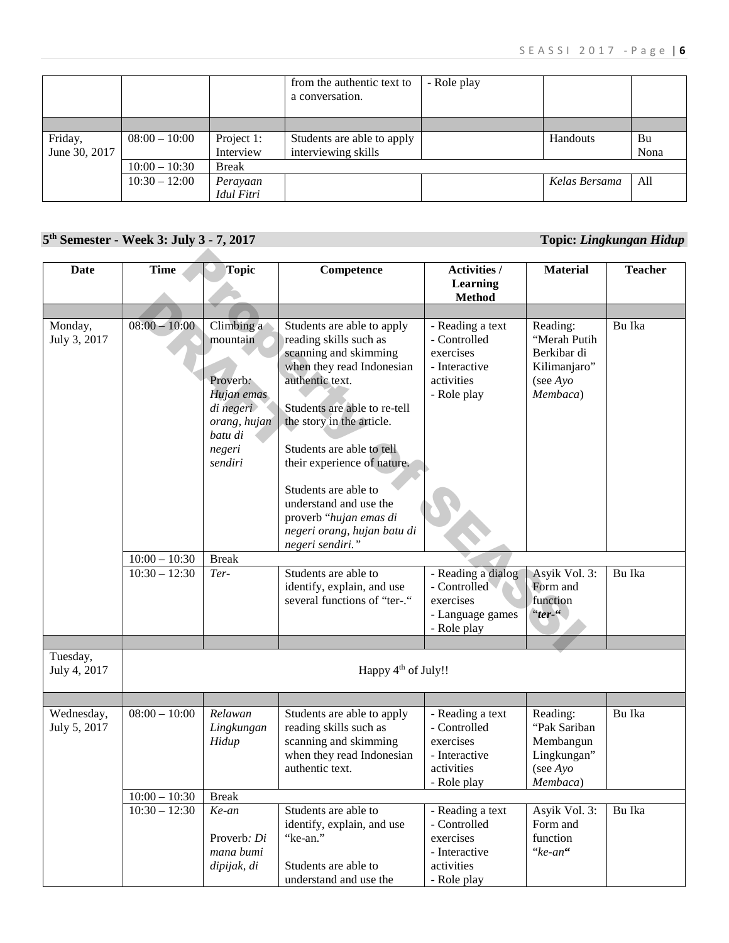|               |                 |              | from the authentic text to<br>a conversation. | - Role play |               |      |
|---------------|-----------------|--------------|-----------------------------------------------|-------------|---------------|------|
|               |                 |              |                                               |             |               |      |
| Friday,       | $08:00 - 10:00$ | Project 1:   | Students are able to apply                    |             | Handouts      | Bu   |
| June 30, 2017 |                 | Interview    | interviewing skills                           |             |               | Nona |
|               | $10:00 - 10:30$ | <b>Break</b> |                                               |             |               |      |
|               | $10:30 - 12:00$ | Perayaan     |                                               |             | Kelas Bersama | All  |
|               |                 | Idul Fitri   |                                               |             |               |      |

# **5th Semester - Week 3: July 3 - 7, 2017 Topic:** *Lingkungan Hidup*

| <b>Date</b>                | <b>Time</b>     | Topic                                                                                                         | Competence                                                                                                                                                                                                                                                                                                                                                                            | <b>Activities /</b>                                                                         | <b>Material</b>                                                                           | <b>Teacher</b> |
|----------------------------|-----------------|---------------------------------------------------------------------------------------------------------------|---------------------------------------------------------------------------------------------------------------------------------------------------------------------------------------------------------------------------------------------------------------------------------------------------------------------------------------------------------------------------------------|---------------------------------------------------------------------------------------------|-------------------------------------------------------------------------------------------|----------------|
|                            |                 |                                                                                                               |                                                                                                                                                                                                                                                                                                                                                                                       | <b>Learning</b><br><b>Method</b>                                                            |                                                                                           |                |
|                            |                 |                                                                                                               |                                                                                                                                                                                                                                                                                                                                                                                       |                                                                                             |                                                                                           |                |
| Monday,<br>July 3, 2017    | $08:00 - 10:00$ | Climbing a<br>mountain<br>Proverb:<br>Hujan emas<br>di negeri<br>orang, hujan<br>batu di<br>negeri<br>sendiri | Students are able to apply<br>reading skills such as<br>scanning and skimming<br>when they read Indonesian<br>authentic text.<br>Students are able to re-tell<br>the story in the article.<br>Students are able to tell<br>their experience of nature.<br>Students are able to<br>understand and use the<br>proverb "hujan emas di<br>negeri orang, hujan batu di<br>negeri sendiri." | - Reading a text<br>- Controlled<br>exercises<br>- Interactive<br>activities<br>- Role play | Reading:<br>"Merah Putih<br>Berkibar di<br>Kilimanjaro"<br>(see $A$ <i>yo</i><br>Membaca) | Bu Ika         |
|                            | $10:00 - 10:30$ | <b>Break</b>                                                                                                  |                                                                                                                                                                                                                                                                                                                                                                                       |                                                                                             |                                                                                           |                |
|                            | $10:30 - 12:30$ | Ter-                                                                                                          | Students are able to<br>identify, explain, and use<br>several functions of "ter-."                                                                                                                                                                                                                                                                                                    | - Reading a dialog<br>- Controlled<br>exercises<br>- Language games<br>- Role play          | Asyik Vol. 3:<br>Form and<br>function<br>" $ter$ "                                        | Bu Ika         |
| Tuesday,<br>July 4, 2017   |                 |                                                                                                               | Happy 4 <sup>th</sup> of July!!                                                                                                                                                                                                                                                                                                                                                       |                                                                                             |                                                                                           |                |
|                            |                 |                                                                                                               |                                                                                                                                                                                                                                                                                                                                                                                       |                                                                                             |                                                                                           |                |
| Wednesday,<br>July 5, 2017 | $08:00 - 10:00$ | Relawan<br>Lingkungan<br>Hidup                                                                                | Students are able to apply<br>reading skills such as<br>scanning and skimming<br>when they read Indonesian<br>authentic text.                                                                                                                                                                                                                                                         | - Reading a text<br>- Controlled<br>exercises<br>- Interactive<br>activities<br>Role play   | Reading:<br>"Pak Sariban<br>Membangun<br>Lingkungan"<br>(see $A$ <i>yo</i><br>Membaca)    | Bu Ika         |
|                            | $10:00 - 10:30$ | <b>Break</b>                                                                                                  |                                                                                                                                                                                                                                                                                                                                                                                       |                                                                                             |                                                                                           |                |
|                            | $10:30 - 12:30$ | Ke-an<br>Proverb: Di<br>mana bumi<br>dipijak, di                                                              | Students are able to<br>identify, explain, and use<br>"ke-an."<br>Students are able to<br>understand and use the                                                                                                                                                                                                                                                                      | - Reading a text<br>- Controlled<br>exercises<br>- Interactive<br>activities<br>- Role play | Asyik Vol. 3:<br>Form and<br>function<br>"ke-an"                                          | Bu Ika         |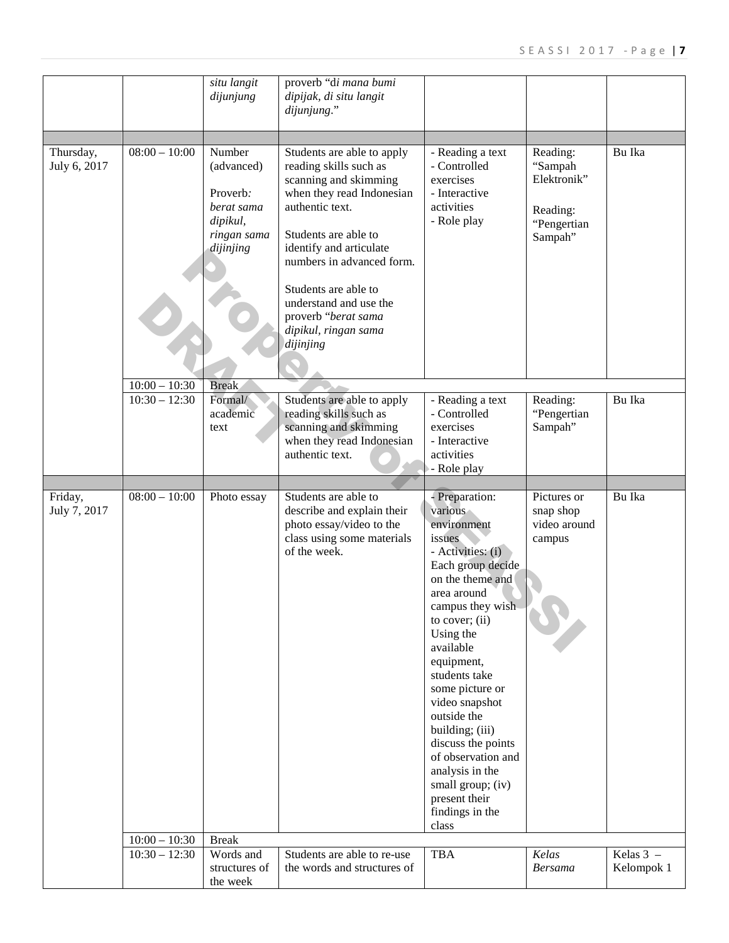|                           |                                    | situ langit<br>dijunjung                                                               | proverb "di mana bumi<br>dipijak, di situ langit<br>dijunjung."                                                                                                                                                                                                                                                             |                                                                                                                                                                                                                                                                                                                                                                                                                                          |                                                                          |                           |
|---------------------------|------------------------------------|----------------------------------------------------------------------------------------|-----------------------------------------------------------------------------------------------------------------------------------------------------------------------------------------------------------------------------------------------------------------------------------------------------------------------------|------------------------------------------------------------------------------------------------------------------------------------------------------------------------------------------------------------------------------------------------------------------------------------------------------------------------------------------------------------------------------------------------------------------------------------------|--------------------------------------------------------------------------|---------------------------|
| Thursday,<br>July 6, 2017 | $08:00 - 10:00$                    | Number<br>(advanced)<br>Proverb:<br>berat sama<br>dipikul,<br>ringan sama<br>dijinjing | Students are able to apply<br>reading skills such as<br>scanning and skimming<br>when they read Indonesian<br>authentic text.<br>Students are able to<br>identify and articulate<br>numbers in advanced form.<br>Students are able to<br>understand and use the<br>proverb "berat sama<br>dipikul, ringan sama<br>dijinjing | - Reading a text<br>- Controlled<br>exercises<br>- Interactive<br>activities<br>- Role play                                                                                                                                                                                                                                                                                                                                              | Reading:<br>"Sampah<br>Elektronik"<br>Reading:<br>"Pengertian<br>Sampah" | Bu Ika                    |
|                           |                                    |                                                                                        |                                                                                                                                                                                                                                                                                                                             |                                                                                                                                                                                                                                                                                                                                                                                                                                          |                                                                          |                           |
|                           | $10:00 - 10:30$<br>$10:30 - 12:30$ | <b>Break</b><br>Formal/<br>academic<br>text                                            | Students are able to apply<br>reading skills such as<br>scanning and skimming<br>when they read Indonesian<br>authentic text.                                                                                                                                                                                               | - Reading a text<br>- Controlled<br>exercises<br>- Interactive<br>activities<br>- Role play                                                                                                                                                                                                                                                                                                                                              | Reading:<br>"Pengertian<br>Sampah"                                       | Bu Ika                    |
|                           |                                    |                                                                                        |                                                                                                                                                                                                                                                                                                                             |                                                                                                                                                                                                                                                                                                                                                                                                                                          |                                                                          |                           |
| Friday,<br>July 7, 2017   | $08:00 - 10:00$                    | Photo essay                                                                            | Students are able to<br>describe and explain their<br>photo essay/video to the<br>class using some materials<br>of the week.                                                                                                                                                                                                | - Preparation:<br>various<br>environment<br>issues<br>- Activities: (i)<br>Each group decide<br>on the theme and<br>area around<br>campus they wish<br>to cover; $(ii)$<br>Using the<br>available<br>equipment,<br>students take<br>some picture or<br>video snapshot<br>outside the<br>building; (iii)<br>discuss the points<br>of observation and<br>analysis in the<br>small group; (iv)<br>present their<br>findings in the<br>class | Pictures or<br>snap shop<br>video around<br>campus                       | Bu Ika                    |
|                           | $10:00 - 10:30$                    | <b>Break</b>                                                                           |                                                                                                                                                                                                                                                                                                                             |                                                                                                                                                                                                                                                                                                                                                                                                                                          |                                                                          |                           |
|                           | $\overline{10:}30 - 12:30$         | Words and<br>structures of<br>the week                                                 | Students are able to re-use<br>the words and structures of                                                                                                                                                                                                                                                                  | <b>TBA</b>                                                                                                                                                                                                                                                                                                                                                                                                                               | Kelas<br><b>Bersama</b>                                                  | Kelas $3 -$<br>Kelompok 1 |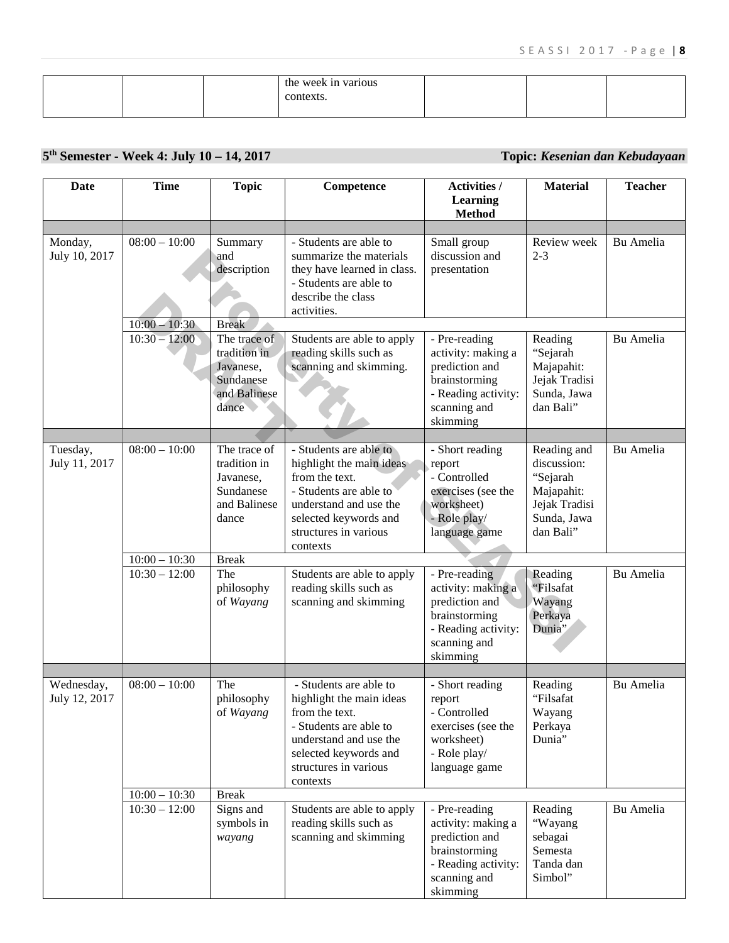|  | the week in various |  |  |
|--|---------------------|--|--|
|  |                     |  |  |
|  | context             |  |  |
|  |                     |  |  |
|  |                     |  |  |

# **5th Semester - Week 4: July 10 – 14, 2017 Topic:** *Kesenian dan Kebudayaan*

| <b>Date</b>                 | <b>Time</b>                                           | <b>Topic</b>                                                                                                                      | Competence                                                                                                                                                                                                                                                              | Activities /<br><b>Learning</b><br><b>Method</b>                                                                                                                        | <b>Material</b>                                                                                                                     | <b>Teacher</b>         |
|-----------------------------|-------------------------------------------------------|-----------------------------------------------------------------------------------------------------------------------------------|-------------------------------------------------------------------------------------------------------------------------------------------------------------------------------------------------------------------------------------------------------------------------|-------------------------------------------------------------------------------------------------------------------------------------------------------------------------|-------------------------------------------------------------------------------------------------------------------------------------|------------------------|
| Monday,<br>July 10, 2017    | $08:00 - 10:00$                                       | Summary<br>and<br>description                                                                                                     | - Students are able to<br>summarize the materials<br>they have learned in class.<br>- Students are able to<br>describe the class<br>activities.                                                                                                                         | Small group<br>discussion and<br>presentation                                                                                                                           | Review week<br>$2 - 3$                                                                                                              | Bu Amelia              |
|                             | $10:00 - 10:30$<br>$10:30 - 12:00$                    | <b>Break</b><br>The trace of<br>tradition in<br>Javanese,<br>Sundanese<br>and Balinese<br>dance                                   | Students are able to apply<br>reading skills such as<br>scanning and skimming.                                                                                                                                                                                          | - Pre-reading<br>activity: making a<br>prediction and<br>brainstorming<br>- Reading activity:<br>scanning and<br>skimming                                               | Reading<br>"Sejarah<br>Majapahit:<br>Jejak Tradisi<br>Sunda, Jawa<br>dan Bali"                                                      | Bu Amelia              |
| Tuesday,<br>July 11, 2017   | $08:00 - 10:00$<br>$10:00 - 10:30$<br>$10:30 - 12:00$ | The trace of<br>tradition in<br>Javanese,<br>Sundanese<br>and Balinese<br>dance<br><b>Break</b><br>The<br>philosophy<br>of Wayang | - Students are able to<br>highlight the main ideas<br>from the text.<br>- Students are able to<br>understand and use the<br>selected keywords and<br>structures in various<br>contexts<br>Students are able to apply<br>reading skills such as<br>scanning and skimming | - Short reading<br>report<br>- Controlled<br>exercises (see the<br>worksheet)<br>- Role play/<br>language game<br>- Pre-reading<br>activity: making a<br>prediction and | Reading and<br>discussion:<br>"Sejarah<br>Majapahit:<br>Jejak Tradisi<br>Sunda, Jawa<br>dan Bali"<br>Reading<br>"Filsafat<br>Wayang | Bu Amelia<br>Bu Amelia |
|                             |                                                       |                                                                                                                                   |                                                                                                                                                                                                                                                                         | brainstorming<br>- Reading activity:<br>scanning and<br>skimming                                                                                                        | Perkaya<br>Dunia"                                                                                                                   |                        |
| Wednesday,<br>July 12, 2017 | $08:00 - 10:00$                                       | The<br>philosophy<br>of Wayang                                                                                                    | - Students are able to<br>highlight the main ideas<br>from the text.<br>- Students are able to<br>understand and use the<br>selected keywords and<br>structures in various<br>contexts                                                                                  | - Short reading<br>report<br>- Controlled<br>exercises (see the<br>worksheet)<br>- Role play/<br>language game                                                          | Reading<br>"Filsafat<br>Wayang<br>Perkaya<br>Dunia"                                                                                 | Bu Amelia              |
|                             | $10:00 - 10:30$<br>$10:30 - 12:00$                    | <b>Break</b><br>Signs and<br>symbols in<br>wayang                                                                                 | Students are able to apply<br>reading skills such as<br>scanning and skimming                                                                                                                                                                                           | - Pre-reading<br>activity: making a<br>prediction and<br>brainstorming<br>- Reading activity:<br>scanning and<br>skimming                                               | Reading<br>"Wayang<br>sebagai<br>Semesta<br>Tanda dan<br>Simbol"                                                                    | Bu Amelia              |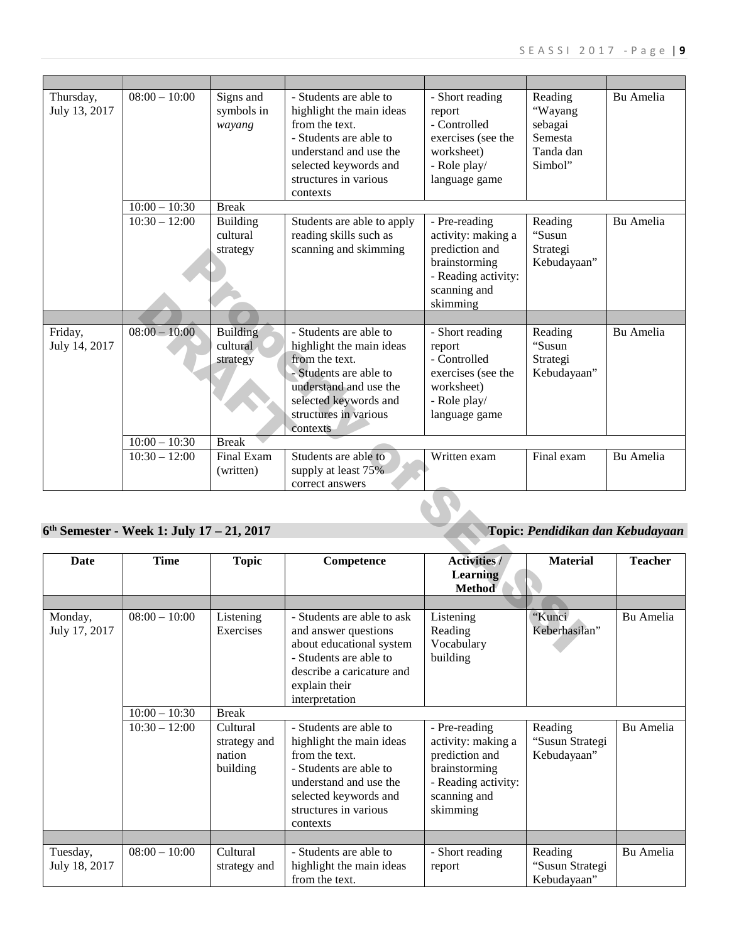| Thursday,<br>July 13, 2017 | $08:00 - 10:00$                           | Signs and<br>symbols in<br>wayang       | - Students are able to<br>highlight the main ideas<br>from the text.<br>- Students are able to<br>understand and use the<br>selected keywords and<br>structures in various<br>contexts | - Short reading<br>report<br>- Controlled<br>exercises (see the<br>worksheet)<br>- Role play/<br>language game            | Reading<br>"Wayang<br>sebagai<br>Semesta<br>Tanda dan<br>Simbol" | <b>Bu</b> Amelia |
|----------------------------|-------------------------------------------|-----------------------------------------|----------------------------------------------------------------------------------------------------------------------------------------------------------------------------------------|---------------------------------------------------------------------------------------------------------------------------|------------------------------------------------------------------|------------------|
|                            | $10:00 - 10:30$                           | <b>Break</b>                            |                                                                                                                                                                                        |                                                                                                                           |                                                                  |                  |
|                            | $10:30 - 12:00$                           | <b>Building</b><br>cultural<br>strategy | Students are able to apply<br>reading skills such as<br>scanning and skimming                                                                                                          | - Pre-reading<br>activity: making a<br>prediction and<br>brainstorming<br>- Reading activity:<br>scanning and<br>skimming | Reading<br>"Susun<br>Strategi<br>Kebudayaan"                     | <b>Bu</b> Amelia |
|                            |                                           |                                         |                                                                                                                                                                                        |                                                                                                                           |                                                                  |                  |
| Friday,<br>July 14, 2017   | $08:00 - 10:00$                           | <b>Building</b><br>cultural<br>strategy | - Students are able to<br>highlight the main ideas<br>from the text.<br>- Students are able to<br>understand and use the<br>selected keywords and<br>structures in various<br>contexts | - Short reading<br>report<br>- Controlled<br>exercises (see the<br>worksheet)<br>- Role play/<br>language game            | Reading<br>"Susun<br>Strategi<br>Kebudayaan"                     | <b>Bu</b> Amelia |
|                            | $10:00 - 10:30$                           | <b>Break</b>                            |                                                                                                                                                                                        |                                                                                                                           |                                                                  |                  |
|                            | $10:30 - 12:00$                           | Final Exam<br>(written)                 | Students are able to<br>supply at least 75%<br>correct answers                                                                                                                         | Written exam                                                                                                              | Final exam                                                       | <b>Bu Amelia</b> |
|                            |                                           |                                         |                                                                                                                                                                                        |                                                                                                                           |                                                                  |                  |
|                            | 6th Semester - Week 1: July 17 - 21, 2017 |                                         |                                                                                                                                                                                        |                                                                                                                           | Topic: Pendidikan dan Kebudayaan                                 |                  |
| Date                       | <b>Time</b>                               | <b>Topic</b>                            | Competence                                                                                                                                                                             | <b>Activities/</b><br>Learning<br><b>Method</b>                                                                           | <b>Material</b>                                                  | <b>Teacher</b>   |
|                            |                                           |                                         |                                                                                                                                                                                        |                                                                                                                           |                                                                  |                  |
| Monday,<br>July 17, 2017   | $08:00 - 10:00$                           | Listening<br>Exercises                  | - Students are able to ask<br>and answer questions<br>about educational system<br>- Students are able to                                                                               | Listening<br>Reading<br>Vocabulary<br>building                                                                            | "Kunci<br>Keberhasilan"                                          | Bu Amelia        |

## **6th Semester - Week 1: July 17 – 21, 2017 Topic:** *Pendidikan dan Kebudayaan*

| <b>Date</b>   | <b>Time</b>     | <b>Topic</b> | Competence                 | <b>Activities /</b> | <b>Material</b> | <b>Teacher</b> |
|---------------|-----------------|--------------|----------------------------|---------------------|-----------------|----------------|
|               |                 |              |                            | <b>Learning</b>     |                 |                |
|               |                 |              |                            | Method              |                 |                |
|               |                 |              |                            |                     |                 |                |
| Monday,       | $08:00 - 10:00$ | Listening    | - Students are able to ask | Listening           | "Kunci          | Bu Amelia      |
| July 17, 2017 |                 | Exercises    | and answer questions       | Reading             | Keberhasilan"   |                |
|               |                 |              | about educational system   | Vocabulary          |                 |                |
|               |                 |              | - Students are able to     | building            |                 |                |
|               |                 |              | describe a caricature and  |                     |                 |                |
|               |                 |              | explain their              |                     |                 |                |
|               |                 |              | interpretation             |                     |                 |                |
|               | $10:00 - 10:30$ | <b>Break</b> |                            |                     |                 |                |
|               | $10:30 - 12:00$ | Cultural     | - Students are able to     | - Pre-reading       | Reading         | Bu Amelia      |
|               |                 |              |                            |                     |                 |                |
|               |                 | strategy and | highlight the main ideas   | activity: making a  | "Susun Strategi |                |
|               |                 | nation       | from the text.             | prediction and      | Kebudayaan"     |                |
|               |                 | building     | - Students are able to     | brainstorming       |                 |                |
|               |                 |              | understand and use the     | - Reading activity: |                 |                |
|               |                 |              | selected keywords and      | scanning and        |                 |                |
|               |                 |              | structures in various      | skimming            |                 |                |
|               |                 |              | contexts                   |                     |                 |                |
|               |                 |              |                            |                     |                 |                |
| Tuesday,      | $08:00 - 10:00$ | Cultural     | - Students are able to     | - Short reading     | Reading         | Bu Amelia      |
| July 18, 2017 |                 | strategy and | highlight the main ideas   | report              | "Susun Strategi |                |
|               |                 |              | from the text.             |                     | Kebudayaan"     |                |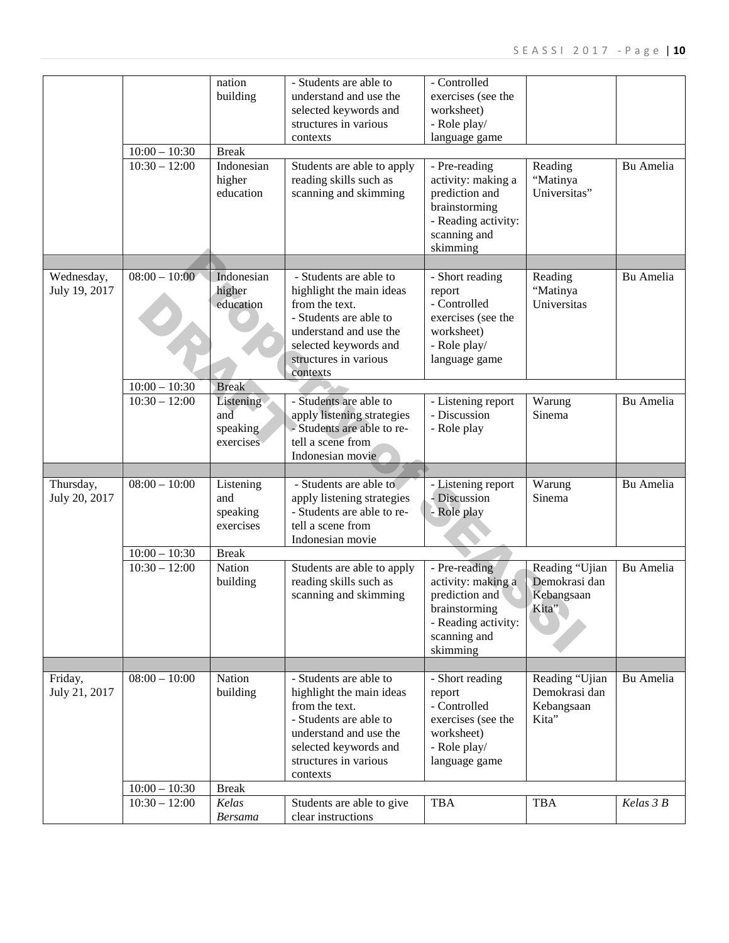| - Controlled<br>nation<br>- Students are able to<br>building<br>understand and use the<br>exercises (see the<br>selected keywords and<br>worksheet)<br>structures in various<br>- Role play/<br>language game<br>contexts<br>$10:00 - 10:30$<br><b>Break</b><br>$10:30 - 12:00$<br>Indonesian<br>- Pre-reading<br>Bu Amelia<br>Students are able to apply<br>Reading<br>higher<br>reading skills such as<br>activity: making a<br>"Matinya<br>education<br>scanning and skimming<br>prediction and<br>Universitas"<br>brainstorming<br>- Reading activity:<br>scanning and<br>skimming<br>$08:00 - 10:00$<br>Wednesday,<br>Indonesian<br>- Students are able to<br>- Short reading<br>Bu Amelia<br>Reading<br>higher<br>"Matinya<br>July 19, 2017<br>highlight the main ideas<br>report<br>from the text.<br>- Controlled<br>Universitas<br>education<br>- Students are able to<br>exercises (see the<br>understand and use the<br>worksheet)<br>selected keywords and<br>- Role play/<br>structures in various<br>language game<br>contexts<br>$10:00 - 10:30$<br><b>Break</b><br>$10:30 - 12:00$<br>- Students are able to<br>Bu Amelia<br>Listening<br>- Listening report<br>Warung<br>- Discussion<br>and<br>apply listening strategies<br>Sinema<br>- Students are able to re-<br>- Role play<br>speaking<br>tell a scene from<br>exercises<br>Indonesian movie<br>$08:00 - 10:00$<br>Listening<br>- Students are able to<br>- Listening report<br>Thursday,<br>Warung<br>Bu Amelia<br>apply listening strategies<br>- Discussion<br>July 20, 2017<br>Sinema<br>and<br>- Students are able to re-<br>- Role play<br>speaking<br>exercises<br>tell a scene from<br>Indonesian movie<br>$10:00 - 10:30$<br><b>Break</b><br>$10:30 - 12:00$<br><b>Nation</b><br>- Pre-reading<br>Reading "Ujian<br>Bu Amelia<br>Students are able to apply<br>reading skills such as<br>activity: making a<br>Demokrasi dan<br>building<br>scanning and skimming<br>prediction and<br>Kebangsaan<br>brainstorming<br>Kita<br>- Reading activity:<br>scanning and<br>skimming<br><b>Nation</b><br>$08:00 - 10:00$<br>- Students are able to<br>Reading "Ujian<br>Friday,<br>- Short reading<br>Bu Amelia<br>July 21, 2017<br>Demokrasi dan<br>building<br>highlight the main ideas<br>report<br>from the text.<br>- Controlled<br>Kebangsaan<br>- Students are able to<br>exercises (see the<br>Kita"<br>understand and use the<br>worksheet)<br>selected keywords and<br>- Role play/<br>structures in various<br>language game<br>contexts<br>$10:00 - 10:30$<br><b>Break</b><br>$10:30 - 12:00$<br>Kelas<br><b>TBA</b><br><b>TBA</b><br>Kelas 3 B<br>Students are able to give<br>clear instructions<br><b>Bersama</b> |  |  |  |  |
|------------------------------------------------------------------------------------------------------------------------------------------------------------------------------------------------------------------------------------------------------------------------------------------------------------------------------------------------------------------------------------------------------------------------------------------------------------------------------------------------------------------------------------------------------------------------------------------------------------------------------------------------------------------------------------------------------------------------------------------------------------------------------------------------------------------------------------------------------------------------------------------------------------------------------------------------------------------------------------------------------------------------------------------------------------------------------------------------------------------------------------------------------------------------------------------------------------------------------------------------------------------------------------------------------------------------------------------------------------------------------------------------------------------------------------------------------------------------------------------------------------------------------------------------------------------------------------------------------------------------------------------------------------------------------------------------------------------------------------------------------------------------------------------------------------------------------------------------------------------------------------------------------------------------------------------------------------------------------------------------------------------------------------------------------------------------------------------------------------------------------------------------------------------------------------------------------------------------------------------------------------------------------------------------------------------------------------------------------------------------------------------------------------------------------------------------------------------------------------------------------------------------------------------------------------------------------------------------------------------------------------------------------------------------------------------------------------|--|--|--|--|
|                                                                                                                                                                                                                                                                                                                                                                                                                                                                                                                                                                                                                                                                                                                                                                                                                                                                                                                                                                                                                                                                                                                                                                                                                                                                                                                                                                                                                                                                                                                                                                                                                                                                                                                                                                                                                                                                                                                                                                                                                                                                                                                                                                                                                                                                                                                                                                                                                                                                                                                                                                                                                                                                                                            |  |  |  |  |
|                                                                                                                                                                                                                                                                                                                                                                                                                                                                                                                                                                                                                                                                                                                                                                                                                                                                                                                                                                                                                                                                                                                                                                                                                                                                                                                                                                                                                                                                                                                                                                                                                                                                                                                                                                                                                                                                                                                                                                                                                                                                                                                                                                                                                                                                                                                                                                                                                                                                                                                                                                                                                                                                                                            |  |  |  |  |
|                                                                                                                                                                                                                                                                                                                                                                                                                                                                                                                                                                                                                                                                                                                                                                                                                                                                                                                                                                                                                                                                                                                                                                                                                                                                                                                                                                                                                                                                                                                                                                                                                                                                                                                                                                                                                                                                                                                                                                                                                                                                                                                                                                                                                                                                                                                                                                                                                                                                                                                                                                                                                                                                                                            |  |  |  |  |
|                                                                                                                                                                                                                                                                                                                                                                                                                                                                                                                                                                                                                                                                                                                                                                                                                                                                                                                                                                                                                                                                                                                                                                                                                                                                                                                                                                                                                                                                                                                                                                                                                                                                                                                                                                                                                                                                                                                                                                                                                                                                                                                                                                                                                                                                                                                                                                                                                                                                                                                                                                                                                                                                                                            |  |  |  |  |
|                                                                                                                                                                                                                                                                                                                                                                                                                                                                                                                                                                                                                                                                                                                                                                                                                                                                                                                                                                                                                                                                                                                                                                                                                                                                                                                                                                                                                                                                                                                                                                                                                                                                                                                                                                                                                                                                                                                                                                                                                                                                                                                                                                                                                                                                                                                                                                                                                                                                                                                                                                                                                                                                                                            |  |  |  |  |
|                                                                                                                                                                                                                                                                                                                                                                                                                                                                                                                                                                                                                                                                                                                                                                                                                                                                                                                                                                                                                                                                                                                                                                                                                                                                                                                                                                                                                                                                                                                                                                                                                                                                                                                                                                                                                                                                                                                                                                                                                                                                                                                                                                                                                                                                                                                                                                                                                                                                                                                                                                                                                                                                                                            |  |  |  |  |
|                                                                                                                                                                                                                                                                                                                                                                                                                                                                                                                                                                                                                                                                                                                                                                                                                                                                                                                                                                                                                                                                                                                                                                                                                                                                                                                                                                                                                                                                                                                                                                                                                                                                                                                                                                                                                                                                                                                                                                                                                                                                                                                                                                                                                                                                                                                                                                                                                                                                                                                                                                                                                                                                                                            |  |  |  |  |
|                                                                                                                                                                                                                                                                                                                                                                                                                                                                                                                                                                                                                                                                                                                                                                                                                                                                                                                                                                                                                                                                                                                                                                                                                                                                                                                                                                                                                                                                                                                                                                                                                                                                                                                                                                                                                                                                                                                                                                                                                                                                                                                                                                                                                                                                                                                                                                                                                                                                                                                                                                                                                                                                                                            |  |  |  |  |
|                                                                                                                                                                                                                                                                                                                                                                                                                                                                                                                                                                                                                                                                                                                                                                                                                                                                                                                                                                                                                                                                                                                                                                                                                                                                                                                                                                                                                                                                                                                                                                                                                                                                                                                                                                                                                                                                                                                                                                                                                                                                                                                                                                                                                                                                                                                                                                                                                                                                                                                                                                                                                                                                                                            |  |  |  |  |
|                                                                                                                                                                                                                                                                                                                                                                                                                                                                                                                                                                                                                                                                                                                                                                                                                                                                                                                                                                                                                                                                                                                                                                                                                                                                                                                                                                                                                                                                                                                                                                                                                                                                                                                                                                                                                                                                                                                                                                                                                                                                                                                                                                                                                                                                                                                                                                                                                                                                                                                                                                                                                                                                                                            |  |  |  |  |
|                                                                                                                                                                                                                                                                                                                                                                                                                                                                                                                                                                                                                                                                                                                                                                                                                                                                                                                                                                                                                                                                                                                                                                                                                                                                                                                                                                                                                                                                                                                                                                                                                                                                                                                                                                                                                                                                                                                                                                                                                                                                                                                                                                                                                                                                                                                                                                                                                                                                                                                                                                                                                                                                                                            |  |  |  |  |
|                                                                                                                                                                                                                                                                                                                                                                                                                                                                                                                                                                                                                                                                                                                                                                                                                                                                                                                                                                                                                                                                                                                                                                                                                                                                                                                                                                                                                                                                                                                                                                                                                                                                                                                                                                                                                                                                                                                                                                                                                                                                                                                                                                                                                                                                                                                                                                                                                                                                                                                                                                                                                                                                                                            |  |  |  |  |
|                                                                                                                                                                                                                                                                                                                                                                                                                                                                                                                                                                                                                                                                                                                                                                                                                                                                                                                                                                                                                                                                                                                                                                                                                                                                                                                                                                                                                                                                                                                                                                                                                                                                                                                                                                                                                                                                                                                                                                                                                                                                                                                                                                                                                                                                                                                                                                                                                                                                                                                                                                                                                                                                                                            |  |  |  |  |
|                                                                                                                                                                                                                                                                                                                                                                                                                                                                                                                                                                                                                                                                                                                                                                                                                                                                                                                                                                                                                                                                                                                                                                                                                                                                                                                                                                                                                                                                                                                                                                                                                                                                                                                                                                                                                                                                                                                                                                                                                                                                                                                                                                                                                                                                                                                                                                                                                                                                                                                                                                                                                                                                                                            |  |  |  |  |
|                                                                                                                                                                                                                                                                                                                                                                                                                                                                                                                                                                                                                                                                                                                                                                                                                                                                                                                                                                                                                                                                                                                                                                                                                                                                                                                                                                                                                                                                                                                                                                                                                                                                                                                                                                                                                                                                                                                                                                                                                                                                                                                                                                                                                                                                                                                                                                                                                                                                                                                                                                                                                                                                                                            |  |  |  |  |
|                                                                                                                                                                                                                                                                                                                                                                                                                                                                                                                                                                                                                                                                                                                                                                                                                                                                                                                                                                                                                                                                                                                                                                                                                                                                                                                                                                                                                                                                                                                                                                                                                                                                                                                                                                                                                                                                                                                                                                                                                                                                                                                                                                                                                                                                                                                                                                                                                                                                                                                                                                                                                                                                                                            |  |  |  |  |
|                                                                                                                                                                                                                                                                                                                                                                                                                                                                                                                                                                                                                                                                                                                                                                                                                                                                                                                                                                                                                                                                                                                                                                                                                                                                                                                                                                                                                                                                                                                                                                                                                                                                                                                                                                                                                                                                                                                                                                                                                                                                                                                                                                                                                                                                                                                                                                                                                                                                                                                                                                                                                                                                                                            |  |  |  |  |
|                                                                                                                                                                                                                                                                                                                                                                                                                                                                                                                                                                                                                                                                                                                                                                                                                                                                                                                                                                                                                                                                                                                                                                                                                                                                                                                                                                                                                                                                                                                                                                                                                                                                                                                                                                                                                                                                                                                                                                                                                                                                                                                                                                                                                                                                                                                                                                                                                                                                                                                                                                                                                                                                                                            |  |  |  |  |
|                                                                                                                                                                                                                                                                                                                                                                                                                                                                                                                                                                                                                                                                                                                                                                                                                                                                                                                                                                                                                                                                                                                                                                                                                                                                                                                                                                                                                                                                                                                                                                                                                                                                                                                                                                                                                                                                                                                                                                                                                                                                                                                                                                                                                                                                                                                                                                                                                                                                                                                                                                                                                                                                                                            |  |  |  |  |
|                                                                                                                                                                                                                                                                                                                                                                                                                                                                                                                                                                                                                                                                                                                                                                                                                                                                                                                                                                                                                                                                                                                                                                                                                                                                                                                                                                                                                                                                                                                                                                                                                                                                                                                                                                                                                                                                                                                                                                                                                                                                                                                                                                                                                                                                                                                                                                                                                                                                                                                                                                                                                                                                                                            |  |  |  |  |
|                                                                                                                                                                                                                                                                                                                                                                                                                                                                                                                                                                                                                                                                                                                                                                                                                                                                                                                                                                                                                                                                                                                                                                                                                                                                                                                                                                                                                                                                                                                                                                                                                                                                                                                                                                                                                                                                                                                                                                                                                                                                                                                                                                                                                                                                                                                                                                                                                                                                                                                                                                                                                                                                                                            |  |  |  |  |
|                                                                                                                                                                                                                                                                                                                                                                                                                                                                                                                                                                                                                                                                                                                                                                                                                                                                                                                                                                                                                                                                                                                                                                                                                                                                                                                                                                                                                                                                                                                                                                                                                                                                                                                                                                                                                                                                                                                                                                                                                                                                                                                                                                                                                                                                                                                                                                                                                                                                                                                                                                                                                                                                                                            |  |  |  |  |
|                                                                                                                                                                                                                                                                                                                                                                                                                                                                                                                                                                                                                                                                                                                                                                                                                                                                                                                                                                                                                                                                                                                                                                                                                                                                                                                                                                                                                                                                                                                                                                                                                                                                                                                                                                                                                                                                                                                                                                                                                                                                                                                                                                                                                                                                                                                                                                                                                                                                                                                                                                                                                                                                                                            |  |  |  |  |
|                                                                                                                                                                                                                                                                                                                                                                                                                                                                                                                                                                                                                                                                                                                                                                                                                                                                                                                                                                                                                                                                                                                                                                                                                                                                                                                                                                                                                                                                                                                                                                                                                                                                                                                                                                                                                                                                                                                                                                                                                                                                                                                                                                                                                                                                                                                                                                                                                                                                                                                                                                                                                                                                                                            |  |  |  |  |
|                                                                                                                                                                                                                                                                                                                                                                                                                                                                                                                                                                                                                                                                                                                                                                                                                                                                                                                                                                                                                                                                                                                                                                                                                                                                                                                                                                                                                                                                                                                                                                                                                                                                                                                                                                                                                                                                                                                                                                                                                                                                                                                                                                                                                                                                                                                                                                                                                                                                                                                                                                                                                                                                                                            |  |  |  |  |
|                                                                                                                                                                                                                                                                                                                                                                                                                                                                                                                                                                                                                                                                                                                                                                                                                                                                                                                                                                                                                                                                                                                                                                                                                                                                                                                                                                                                                                                                                                                                                                                                                                                                                                                                                                                                                                                                                                                                                                                                                                                                                                                                                                                                                                                                                                                                                                                                                                                                                                                                                                                                                                                                                                            |  |  |  |  |
|                                                                                                                                                                                                                                                                                                                                                                                                                                                                                                                                                                                                                                                                                                                                                                                                                                                                                                                                                                                                                                                                                                                                                                                                                                                                                                                                                                                                                                                                                                                                                                                                                                                                                                                                                                                                                                                                                                                                                                                                                                                                                                                                                                                                                                                                                                                                                                                                                                                                                                                                                                                                                                                                                                            |  |  |  |  |
|                                                                                                                                                                                                                                                                                                                                                                                                                                                                                                                                                                                                                                                                                                                                                                                                                                                                                                                                                                                                                                                                                                                                                                                                                                                                                                                                                                                                                                                                                                                                                                                                                                                                                                                                                                                                                                                                                                                                                                                                                                                                                                                                                                                                                                                                                                                                                                                                                                                                                                                                                                                                                                                                                                            |  |  |  |  |
|                                                                                                                                                                                                                                                                                                                                                                                                                                                                                                                                                                                                                                                                                                                                                                                                                                                                                                                                                                                                                                                                                                                                                                                                                                                                                                                                                                                                                                                                                                                                                                                                                                                                                                                                                                                                                                                                                                                                                                                                                                                                                                                                                                                                                                                                                                                                                                                                                                                                                                                                                                                                                                                                                                            |  |  |  |  |
|                                                                                                                                                                                                                                                                                                                                                                                                                                                                                                                                                                                                                                                                                                                                                                                                                                                                                                                                                                                                                                                                                                                                                                                                                                                                                                                                                                                                                                                                                                                                                                                                                                                                                                                                                                                                                                                                                                                                                                                                                                                                                                                                                                                                                                                                                                                                                                                                                                                                                                                                                                                                                                                                                                            |  |  |  |  |
|                                                                                                                                                                                                                                                                                                                                                                                                                                                                                                                                                                                                                                                                                                                                                                                                                                                                                                                                                                                                                                                                                                                                                                                                                                                                                                                                                                                                                                                                                                                                                                                                                                                                                                                                                                                                                                                                                                                                                                                                                                                                                                                                                                                                                                                                                                                                                                                                                                                                                                                                                                                                                                                                                                            |  |  |  |  |
|                                                                                                                                                                                                                                                                                                                                                                                                                                                                                                                                                                                                                                                                                                                                                                                                                                                                                                                                                                                                                                                                                                                                                                                                                                                                                                                                                                                                                                                                                                                                                                                                                                                                                                                                                                                                                                                                                                                                                                                                                                                                                                                                                                                                                                                                                                                                                                                                                                                                                                                                                                                                                                                                                                            |  |  |  |  |
|                                                                                                                                                                                                                                                                                                                                                                                                                                                                                                                                                                                                                                                                                                                                                                                                                                                                                                                                                                                                                                                                                                                                                                                                                                                                                                                                                                                                                                                                                                                                                                                                                                                                                                                                                                                                                                                                                                                                                                                                                                                                                                                                                                                                                                                                                                                                                                                                                                                                                                                                                                                                                                                                                                            |  |  |  |  |
|                                                                                                                                                                                                                                                                                                                                                                                                                                                                                                                                                                                                                                                                                                                                                                                                                                                                                                                                                                                                                                                                                                                                                                                                                                                                                                                                                                                                                                                                                                                                                                                                                                                                                                                                                                                                                                                                                                                                                                                                                                                                                                                                                                                                                                                                                                                                                                                                                                                                                                                                                                                                                                                                                                            |  |  |  |  |
|                                                                                                                                                                                                                                                                                                                                                                                                                                                                                                                                                                                                                                                                                                                                                                                                                                                                                                                                                                                                                                                                                                                                                                                                                                                                                                                                                                                                                                                                                                                                                                                                                                                                                                                                                                                                                                                                                                                                                                                                                                                                                                                                                                                                                                                                                                                                                                                                                                                                                                                                                                                                                                                                                                            |  |  |  |  |
|                                                                                                                                                                                                                                                                                                                                                                                                                                                                                                                                                                                                                                                                                                                                                                                                                                                                                                                                                                                                                                                                                                                                                                                                                                                                                                                                                                                                                                                                                                                                                                                                                                                                                                                                                                                                                                                                                                                                                                                                                                                                                                                                                                                                                                                                                                                                                                                                                                                                                                                                                                                                                                                                                                            |  |  |  |  |
|                                                                                                                                                                                                                                                                                                                                                                                                                                                                                                                                                                                                                                                                                                                                                                                                                                                                                                                                                                                                                                                                                                                                                                                                                                                                                                                                                                                                                                                                                                                                                                                                                                                                                                                                                                                                                                                                                                                                                                                                                                                                                                                                                                                                                                                                                                                                                                                                                                                                                                                                                                                                                                                                                                            |  |  |  |  |
|                                                                                                                                                                                                                                                                                                                                                                                                                                                                                                                                                                                                                                                                                                                                                                                                                                                                                                                                                                                                                                                                                                                                                                                                                                                                                                                                                                                                                                                                                                                                                                                                                                                                                                                                                                                                                                                                                                                                                                                                                                                                                                                                                                                                                                                                                                                                                                                                                                                                                                                                                                                                                                                                                                            |  |  |  |  |
|                                                                                                                                                                                                                                                                                                                                                                                                                                                                                                                                                                                                                                                                                                                                                                                                                                                                                                                                                                                                                                                                                                                                                                                                                                                                                                                                                                                                                                                                                                                                                                                                                                                                                                                                                                                                                                                                                                                                                                                                                                                                                                                                                                                                                                                                                                                                                                                                                                                                                                                                                                                                                                                                                                            |  |  |  |  |
|                                                                                                                                                                                                                                                                                                                                                                                                                                                                                                                                                                                                                                                                                                                                                                                                                                                                                                                                                                                                                                                                                                                                                                                                                                                                                                                                                                                                                                                                                                                                                                                                                                                                                                                                                                                                                                                                                                                                                                                                                                                                                                                                                                                                                                                                                                                                                                                                                                                                                                                                                                                                                                                                                                            |  |  |  |  |
|                                                                                                                                                                                                                                                                                                                                                                                                                                                                                                                                                                                                                                                                                                                                                                                                                                                                                                                                                                                                                                                                                                                                                                                                                                                                                                                                                                                                                                                                                                                                                                                                                                                                                                                                                                                                                                                                                                                                                                                                                                                                                                                                                                                                                                                                                                                                                                                                                                                                                                                                                                                                                                                                                                            |  |  |  |  |
|                                                                                                                                                                                                                                                                                                                                                                                                                                                                                                                                                                                                                                                                                                                                                                                                                                                                                                                                                                                                                                                                                                                                                                                                                                                                                                                                                                                                                                                                                                                                                                                                                                                                                                                                                                                                                                                                                                                                                                                                                                                                                                                                                                                                                                                                                                                                                                                                                                                                                                                                                                                                                                                                                                            |  |  |  |  |
|                                                                                                                                                                                                                                                                                                                                                                                                                                                                                                                                                                                                                                                                                                                                                                                                                                                                                                                                                                                                                                                                                                                                                                                                                                                                                                                                                                                                                                                                                                                                                                                                                                                                                                                                                                                                                                                                                                                                                                                                                                                                                                                                                                                                                                                                                                                                                                                                                                                                                                                                                                                                                                                                                                            |  |  |  |  |
|                                                                                                                                                                                                                                                                                                                                                                                                                                                                                                                                                                                                                                                                                                                                                                                                                                                                                                                                                                                                                                                                                                                                                                                                                                                                                                                                                                                                                                                                                                                                                                                                                                                                                                                                                                                                                                                                                                                                                                                                                                                                                                                                                                                                                                                                                                                                                                                                                                                                                                                                                                                                                                                                                                            |  |  |  |  |
|                                                                                                                                                                                                                                                                                                                                                                                                                                                                                                                                                                                                                                                                                                                                                                                                                                                                                                                                                                                                                                                                                                                                                                                                                                                                                                                                                                                                                                                                                                                                                                                                                                                                                                                                                                                                                                                                                                                                                                                                                                                                                                                                                                                                                                                                                                                                                                                                                                                                                                                                                                                                                                                                                                            |  |  |  |  |
|                                                                                                                                                                                                                                                                                                                                                                                                                                                                                                                                                                                                                                                                                                                                                                                                                                                                                                                                                                                                                                                                                                                                                                                                                                                                                                                                                                                                                                                                                                                                                                                                                                                                                                                                                                                                                                                                                                                                                                                                                                                                                                                                                                                                                                                                                                                                                                                                                                                                                                                                                                                                                                                                                                            |  |  |  |  |
|                                                                                                                                                                                                                                                                                                                                                                                                                                                                                                                                                                                                                                                                                                                                                                                                                                                                                                                                                                                                                                                                                                                                                                                                                                                                                                                                                                                                                                                                                                                                                                                                                                                                                                                                                                                                                                                                                                                                                                                                                                                                                                                                                                                                                                                                                                                                                                                                                                                                                                                                                                                                                                                                                                            |  |  |  |  |
|                                                                                                                                                                                                                                                                                                                                                                                                                                                                                                                                                                                                                                                                                                                                                                                                                                                                                                                                                                                                                                                                                                                                                                                                                                                                                                                                                                                                                                                                                                                                                                                                                                                                                                                                                                                                                                                                                                                                                                                                                                                                                                                                                                                                                                                                                                                                                                                                                                                                                                                                                                                                                                                                                                            |  |  |  |  |
|                                                                                                                                                                                                                                                                                                                                                                                                                                                                                                                                                                                                                                                                                                                                                                                                                                                                                                                                                                                                                                                                                                                                                                                                                                                                                                                                                                                                                                                                                                                                                                                                                                                                                                                                                                                                                                                                                                                                                                                                                                                                                                                                                                                                                                                                                                                                                                                                                                                                                                                                                                                                                                                                                                            |  |  |  |  |
|                                                                                                                                                                                                                                                                                                                                                                                                                                                                                                                                                                                                                                                                                                                                                                                                                                                                                                                                                                                                                                                                                                                                                                                                                                                                                                                                                                                                                                                                                                                                                                                                                                                                                                                                                                                                                                                                                                                                                                                                                                                                                                                                                                                                                                                                                                                                                                                                                                                                                                                                                                                                                                                                                                            |  |  |  |  |
|                                                                                                                                                                                                                                                                                                                                                                                                                                                                                                                                                                                                                                                                                                                                                                                                                                                                                                                                                                                                                                                                                                                                                                                                                                                                                                                                                                                                                                                                                                                                                                                                                                                                                                                                                                                                                                                                                                                                                                                                                                                                                                                                                                                                                                                                                                                                                                                                                                                                                                                                                                                                                                                                                                            |  |  |  |  |
|                                                                                                                                                                                                                                                                                                                                                                                                                                                                                                                                                                                                                                                                                                                                                                                                                                                                                                                                                                                                                                                                                                                                                                                                                                                                                                                                                                                                                                                                                                                                                                                                                                                                                                                                                                                                                                                                                                                                                                                                                                                                                                                                                                                                                                                                                                                                                                                                                                                                                                                                                                                                                                                                                                            |  |  |  |  |
|                                                                                                                                                                                                                                                                                                                                                                                                                                                                                                                                                                                                                                                                                                                                                                                                                                                                                                                                                                                                                                                                                                                                                                                                                                                                                                                                                                                                                                                                                                                                                                                                                                                                                                                                                                                                                                                                                                                                                                                                                                                                                                                                                                                                                                                                                                                                                                                                                                                                                                                                                                                                                                                                                                            |  |  |  |  |
|                                                                                                                                                                                                                                                                                                                                                                                                                                                                                                                                                                                                                                                                                                                                                                                                                                                                                                                                                                                                                                                                                                                                                                                                                                                                                                                                                                                                                                                                                                                                                                                                                                                                                                                                                                                                                                                                                                                                                                                                                                                                                                                                                                                                                                                                                                                                                                                                                                                                                                                                                                                                                                                                                                            |  |  |  |  |
|                                                                                                                                                                                                                                                                                                                                                                                                                                                                                                                                                                                                                                                                                                                                                                                                                                                                                                                                                                                                                                                                                                                                                                                                                                                                                                                                                                                                                                                                                                                                                                                                                                                                                                                                                                                                                                                                                                                                                                                                                                                                                                                                                                                                                                                                                                                                                                                                                                                                                                                                                                                                                                                                                                            |  |  |  |  |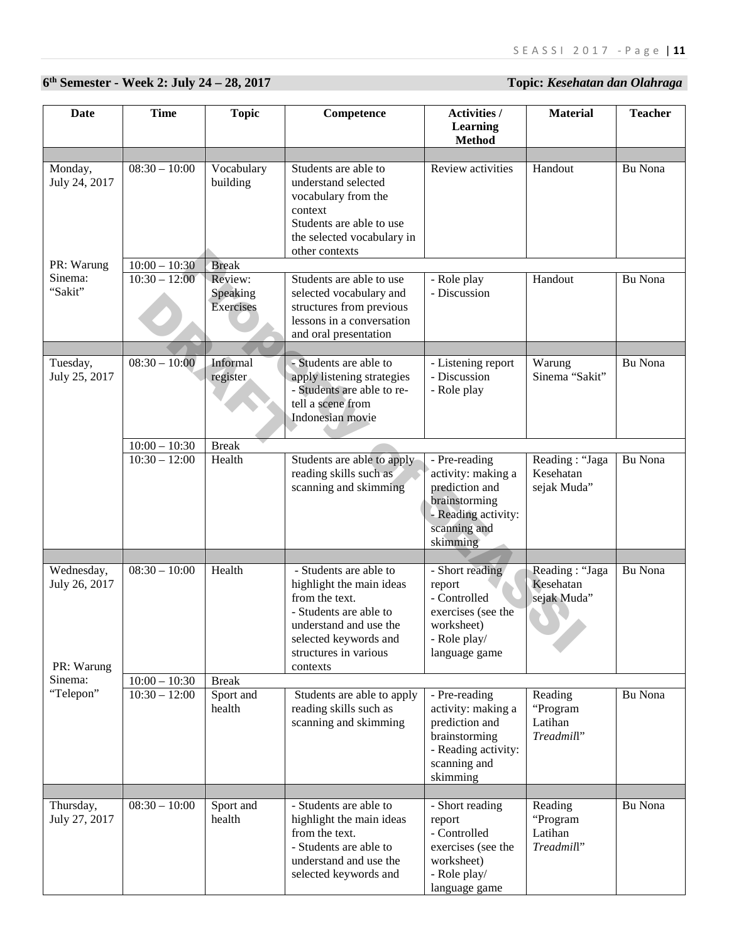# **6th Semester - Week 2: July 24 – 28, 2017 Topic:** *Kesehatan dan Olahraga*

| Date                                                 | <b>Time</b>                        | <b>Topic</b>                     | Competence                                                                                                                                                                             | Activities /<br><b>Learning</b><br><b>Method</b>                                                                          | <b>Material</b>                              | <b>Teacher</b> |
|------------------------------------------------------|------------------------------------|----------------------------------|----------------------------------------------------------------------------------------------------------------------------------------------------------------------------------------|---------------------------------------------------------------------------------------------------------------------------|----------------------------------------------|----------------|
|                                                      |                                    |                                  |                                                                                                                                                                                        |                                                                                                                           |                                              |                |
| Monday,<br>July 24, 2017                             | $08:30 - 10:00$                    | Vocabulary<br>building           | Students are able to<br>understand selected<br>vocabulary from the<br>context<br>Students are able to use<br>the selected vocabulary in<br>other contexts                              | Review activities                                                                                                         | Handout                                      | Bu Nona        |
| PR: Warung                                           | $10:00 - 10:30$                    | <b>Break</b>                     |                                                                                                                                                                                        |                                                                                                                           |                                              |                |
| Sinema:<br>"Sakit"                                   | $10:30 - 12:00$                    | Review:<br>Speaking<br>Exercises | Students are able to use<br>selected vocabulary and<br>structures from previous<br>lessons in a conversation<br>and oral presentation                                                  | - Role play<br>- Discussion                                                                                               | Handout                                      | Bu Nona        |
| Tuesday,<br>July 25, 2017                            | $08:30 - 10:00$                    | Informal<br>register             | - Students are able to<br>apply listening strategies<br>- Students are able to re-<br>tell a scene from<br>Indonesian movie                                                            | - Listening report<br>- Discussion<br>- Role play                                                                         | Warung<br>Sinema "Sakit"                     | Bu Nona        |
|                                                      | $10:00 - 10:30$                    | <b>Break</b>                     |                                                                                                                                                                                        |                                                                                                                           |                                              |                |
|                                                      | $\overline{10:}30 - 12:00$         | Health                           | Students are able to apply<br>reading skills such as<br>scanning and skimming                                                                                                          | - Pre-reading<br>activity: making a<br>prediction and<br>brainstorming<br>- Reading activity:<br>scanning and<br>skimming | Reading: "Jaga<br>Kesehatan<br>sejak Muda"   | Bu Nona        |
|                                                      |                                    |                                  |                                                                                                                                                                                        |                                                                                                                           |                                              |                |
| Wednesday,<br>July 26, 2017<br>PR: Warung<br>Sinema: | $08:30 - 10:00$<br>$10:00 - 10:30$ | Health<br><b>Break</b>           | - Students are able to<br>highlight the main ideas<br>from the text.<br>- Students are able to<br>understand and use the<br>selected keywords and<br>structures in various<br>contexts | - Short reading<br>report<br>- Controlled<br>exercises (see the<br>worksheet)<br>- Role play/<br>language game            | Reading: "Jaga<br>Kesehatan<br>sejak Muda"   | Bu Nona        |
|                                                      |                                    |                                  |                                                                                                                                                                                        |                                                                                                                           |                                              |                |
| "Telepon"                                            | $10:30 - 12:00$                    | Sport and<br>health              | Students are able to apply<br>reading skills such as<br>scanning and skimming                                                                                                          | - Pre-reading<br>activity: making a<br>prediction and<br>brainstorming<br>- Reading activity:<br>scanning and<br>skimming | Reading<br>"Program<br>Latihan<br>Treadmill" | Bu Nona        |
| Thursday,<br>July 27, 2017                           | $08:30 - 10:00$                    | Sport and<br>health              | - Students are able to<br>highlight the main ideas<br>from the text.<br>- Students are able to<br>understand and use the<br>selected keywords and                                      | - Short reading<br>report<br>- Controlled<br>exercises (see the<br>worksheet)<br>- Role play/<br>language game            | Reading<br>"Program<br>Latihan<br>Treadmill" | Bu Nona        |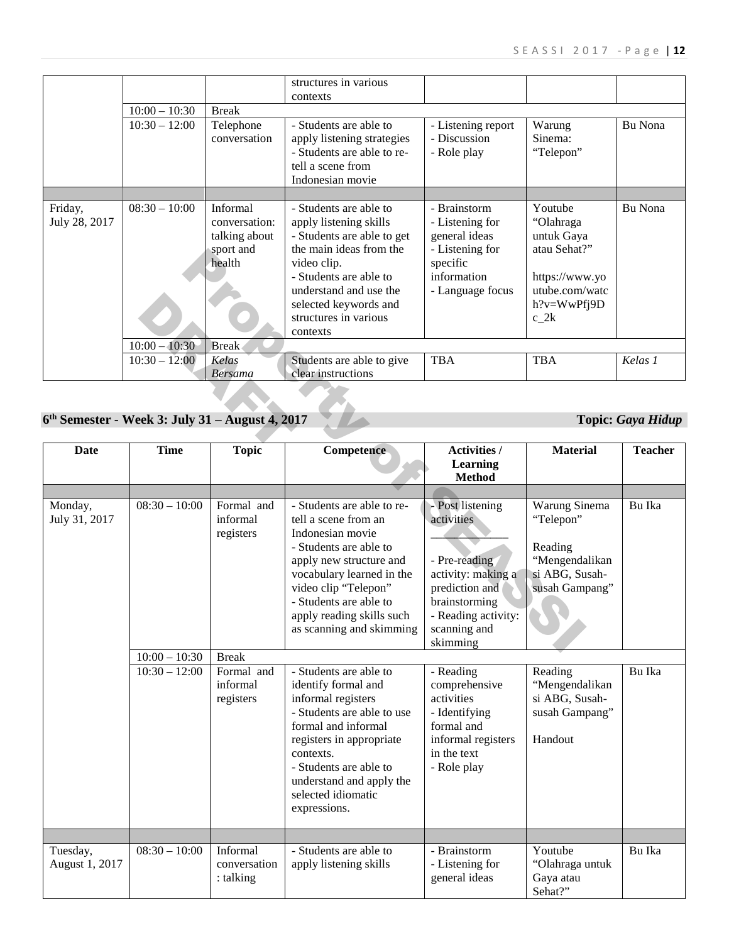| Dote          | Time                                              | Tanic          | Competence                                                                           | Activities /            | Material                                | Teacher                  |
|---------------|---------------------------------------------------|----------------|--------------------------------------------------------------------------------------|-------------------------|-----------------------------------------|--------------------------|
|               | $6th$ Semester - Week 3: July 31 – August 4, 2017 |                |                                                                                      |                         |                                         | <b>Topic: Gaya Hidup</b> |
|               |                                                   |                |                                                                                      |                         |                                         |                          |
|               |                                                   | <b>Bersama</b> | clear instructions                                                                   |                         |                                         |                          |
|               | $10:30 - 12:00$                                   | Kelas          | Students are able to give                                                            | <b>TBA</b>              | <b>TBA</b>                              | Kelas 1                  |
|               | $10:00 - 10:30$                                   | <b>Break</b>   |                                                                                      |                         |                                         |                          |
|               |                                                   |                | understand and use the<br>selected keywords and<br>structures in various<br>contexts | - Language focus        | utube.com/watc<br>h?v=WwPfj9D<br>$c_2k$ |                          |
|               |                                                   | health         | video clip.<br>- Students are able to                                                | specific<br>information | https://www.yo                          |                          |
|               |                                                   | sport and      | the main ideas from the                                                              | - Listening for         | atau Sehat?"                            |                          |
|               |                                                   | talking about  | - Students are able to get                                                           | general ideas           | untuk Gaya                              |                          |
| July 28, 2017 |                                                   | conversation:  | apply listening skills                                                               | - Listening for         | "Olahraga                               |                          |
| Friday,       | $08:30 - 10:00$                                   | Informal       | - Students are able to                                                               | - Brainstorm            | Youtube                                 | Bu Nona                  |
|               |                                                   |                |                                                                                      |                         |                                         |                          |
|               |                                                   |                | tell a scene from<br>Indonesian movie                                                |                         |                                         |                          |
|               |                                                   |                | - Students are able to re-                                                           | - Role play             | "Telepon"                               |                          |
|               |                                                   | conversation   | apply listening strategies                                                           | - Discussion            | Sinema:                                 |                          |
|               | $10:30 - 12:00$                                   | Telephone      | - Students are able to                                                               | - Listening report      | Warung                                  | Bu Nona                  |
|               | $10:00 - 10:30$                                   | <b>Break</b>   |                                                                                      |                         |                                         |                          |
|               |                                                   |                | contexts                                                                             |                         |                                         |                          |
|               |                                                   |                | structures in various                                                                |                         |                                         |                          |

## **6th Semester - Week 3: July 31 – August 4, 2017 Topic:** *Gaya Hidup*

|                                                 |                                                       | sport and<br>health                                                           | the main ideas from the<br>video clip.<br>- Students are able to<br>understand and use the<br>selected keywords and<br>structures in various<br>contexts                                                                                                                                                             | - Listening for<br>specific<br>information<br>- Language focus                                                                                                                            | atau Senat?<br>https://www.yo<br>utube.com/watc<br>h?v=WwPfj9D<br>$c_2k$                                                 |                          |
|-------------------------------------------------|-------------------------------------------------------|-------------------------------------------------------------------------------|----------------------------------------------------------------------------------------------------------------------------------------------------------------------------------------------------------------------------------------------------------------------------------------------------------------------|-------------------------------------------------------------------------------------------------------------------------------------------------------------------------------------------|--------------------------------------------------------------------------------------------------------------------------|--------------------------|
|                                                 | $10:00 - 10:30$                                       | <b>Break</b>                                                                  |                                                                                                                                                                                                                                                                                                                      |                                                                                                                                                                                           |                                                                                                                          |                          |
|                                                 | $10:30 - 12:00$                                       | Kelas<br><b>Bersama</b>                                                       | Students are able to give<br>clear instructions                                                                                                                                                                                                                                                                      | <b>TBA</b>                                                                                                                                                                                | <b>TBA</b>                                                                                                               | Kelas 1                  |
| 6th Semester - Week 3: July 31 – August 4, 2017 |                                                       |                                                                               |                                                                                                                                                                                                                                                                                                                      |                                                                                                                                                                                           |                                                                                                                          | <b>Topic: Gaya Hidup</b> |
| Date                                            | <b>Time</b>                                           | <b>Topic</b>                                                                  | Competence                                                                                                                                                                                                                                                                                                           | <b>Activities /</b><br>Learning<br><b>Method</b>                                                                                                                                          | <b>Material</b>                                                                                                          | <b>Teacher</b>           |
| Monday,<br>July 31, 2017                        | $08:30 - 10:00$<br>$10:00 - 10:30$<br>$10:30 - 12:00$ | Formal and<br>informal<br>registers<br><b>Break</b><br>Formal and<br>informal | - Students are able to re-<br>tell a scene from an<br>Indonesian movie<br>- Students are able to<br>apply new structure and<br>vocabulary learned in the<br>video clip "Telepon"<br>- Students are able to<br>apply reading skills such<br>as scanning and skimming<br>- Students are able to<br>identify formal and | - Post listening<br>activities<br>- Pre-reading<br>activity: making a<br>prediction and<br>brainstorming<br>- Reading activity:<br>scanning and<br>skimming<br>- Reading<br>comprehensive | Warung Sinema<br>"Telepon"<br>Reading<br>"Mengendalikan<br>si ABG, Susah-<br>susah Gampang"<br>Reading<br>"Mengendalikan | Bu Ika<br>Bu Ika         |
|                                                 |                                                       | registers                                                                     | informal registers<br>- Students are able to use<br>formal and informal<br>registers in appropriate<br>contexts.<br>- Students are able to<br>understand and apply the<br>selected idiomatic<br>expressions.                                                                                                         | activities<br>- Identifying<br>formal and<br>informal registers<br>in the text<br>- Role play                                                                                             | si ABG, Susah-<br>susah Gampang"<br>Handout                                                                              |                          |
| Tuesday,                                        | $08:30 - 10:00$                                       | Informal                                                                      | - Students are able to                                                                                                                                                                                                                                                                                               | - Brainstorm                                                                                                                                                                              | Youtube                                                                                                                  | Bu Ika                   |
| August 1, 2017                                  |                                                       | conversation<br>: talking                                                     | apply listening skills                                                                                                                                                                                                                                                                                               | - Listening for<br>general ideas                                                                                                                                                          | "Olahraga untuk<br>Gaya atau<br>Sehat?"                                                                                  |                          |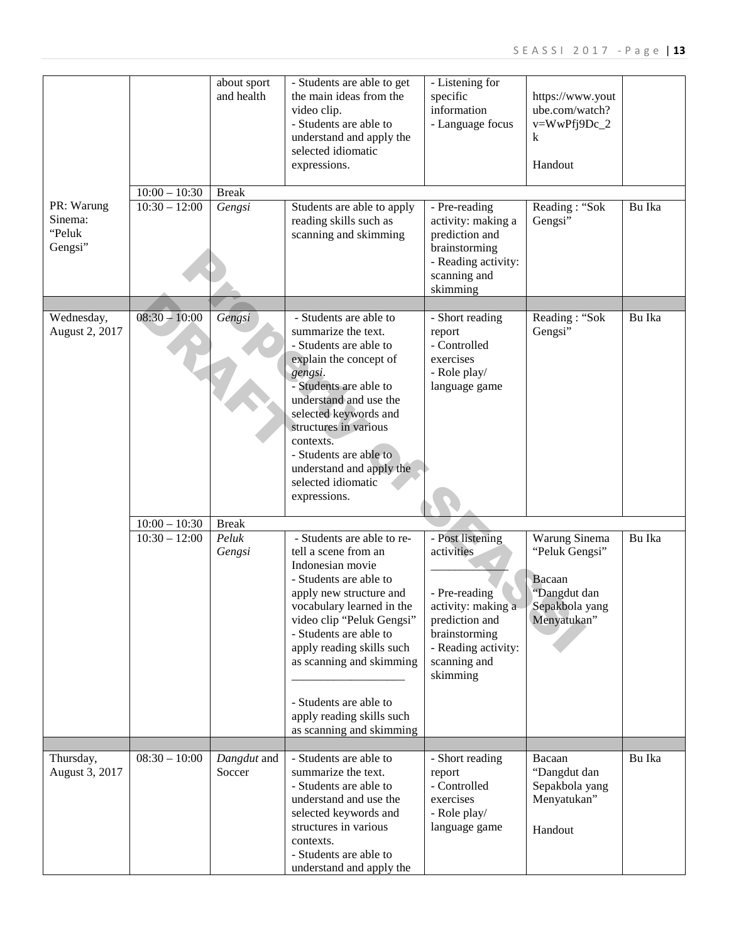|                                            |                 | about sport<br>and health | - Students are able to get<br>the main ideas from the<br>video clip.<br>- Students are able to<br>understand and apply the<br>selected idiomatic<br>expressions.                                                                                                                                                                                            | - Listening for<br>specific<br>information<br>- Language focus                                                                                              | https://www.yout<br>ube.com/watch?<br>v=WwPfj9Dc_2<br>k<br>Handout                         |        |
|--------------------------------------------|-----------------|---------------------------|-------------------------------------------------------------------------------------------------------------------------------------------------------------------------------------------------------------------------------------------------------------------------------------------------------------------------------------------------------------|-------------------------------------------------------------------------------------------------------------------------------------------------------------|--------------------------------------------------------------------------------------------|--------|
|                                            | $10:00 - 10:30$ | <b>Break</b>              |                                                                                                                                                                                                                                                                                                                                                             |                                                                                                                                                             |                                                                                            |        |
| PR: Warung<br>Sinema:<br>"Peluk<br>Gengsi" | $10:30 - 12:00$ | Gengsi                    | Students are able to apply<br>reading skills such as<br>scanning and skimming                                                                                                                                                                                                                                                                               | - Pre-reading<br>activity: making a<br>prediction and<br>brainstorming<br>- Reading activity:<br>scanning and<br>skimming                                   | Reading: "Sok<br>Gengsi"                                                                   | Bu Ika |
|                                            |                 |                           |                                                                                                                                                                                                                                                                                                                                                             |                                                                                                                                                             |                                                                                            |        |
| Wednesday,<br>August 2, 2017               | $08:30 - 10:00$ | Gengsi                    | - Students are able to<br>summarize the text.<br>- Students are able to<br>explain the concept of<br>gengsi.<br>- Students are able to<br>understand and use the<br>selected keywords and<br>structures in various<br>contexts.<br>- Students are able to<br>understand and apply the<br>selected idiomatic<br>expressions.                                 | - Short reading<br>report<br>- Controlled<br>exercises<br>- Role play/<br>language game                                                                     | Reading: "Sok<br>Gengsi"                                                                   | Bu Ika |
|                                            | $10:00 - 10:30$ | <b>Break</b>              |                                                                                                                                                                                                                                                                                                                                                             |                                                                                                                                                             |                                                                                            |        |
|                                            | $10:30 - 12:00$ | Peluk<br>Gengsi           | - Students are able to re-<br>tell a scene from an<br>Indonesian movie<br>- Students are able to<br>apply new structure and<br>vocabulary learned in the<br>video clip "Peluk Gengsi"<br>- Students are able to<br>apply reading skills such<br>as scanning and skimming<br>- Students are able to<br>apply reading skills such<br>as scanning and skimming | - Post listening<br>activities<br>- Pre-reading<br>activity: making a<br>prediction and<br>brainstorming<br>- Reading activity:<br>scanning and<br>skimming | Warung Sinema<br>"Peluk Gengsi"<br>Bacaan<br>"Dangdut dan<br>Sepakbola yang<br>Menyatukan" | Bu Ika |
|                                            |                 |                           |                                                                                                                                                                                                                                                                                                                                                             |                                                                                                                                                             |                                                                                            |        |
| Thursday,<br>August 3, 2017                | $08:30 - 10:00$ | Dangdut and<br>Soccer     | - Students are able to<br>summarize the text.<br>- Students are able to<br>understand and use the<br>selected keywords and<br>structures in various<br>contexts.<br>- Students are able to<br>understand and apply the                                                                                                                                      | - Short reading<br>report<br>- Controlled<br>exercises<br>- Role play/<br>language game                                                                     | Bacaan<br>"Dangdut dan<br>Sepakbola yang<br>Menyatukan"<br>Handout                         | Bu Ika |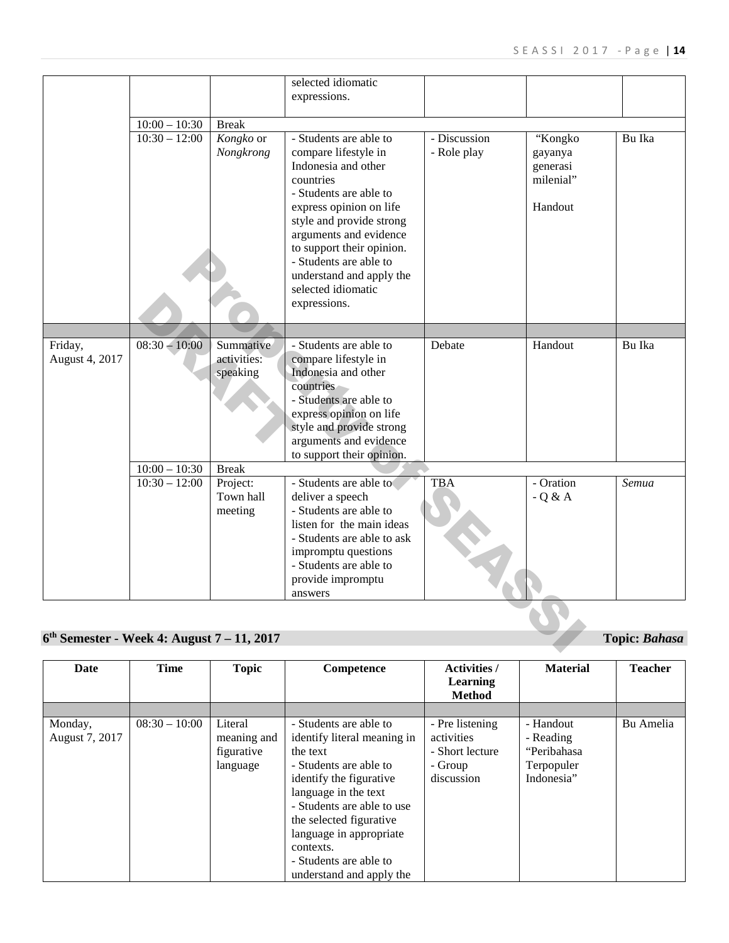| Date                      | <b>Time</b>     | <b>Topic</b>                                     | Competence                                                                                                                                                                                                                                                                                            | <b>Activities</b> /<br><b>Learning</b><br><b>Method</b>                   | <b>Material</b>                                                   | <b>Teacher</b> |
|---------------------------|-----------------|--------------------------------------------------|-------------------------------------------------------------------------------------------------------------------------------------------------------------------------------------------------------------------------------------------------------------------------------------------------------|---------------------------------------------------------------------------|-------------------------------------------------------------------|----------------|
|                           |                 |                                                  |                                                                                                                                                                                                                                                                                                       |                                                                           |                                                                   |                |
| Monday,<br>August 7, 2017 | $08:30 - 10:00$ | Literal<br>meaning and<br>figurative<br>language | - Students are able to<br>identify literal meaning in<br>the text<br>- Students are able to<br>identify the figurative<br>language in the text<br>- Students are able to use<br>the selected figurative<br>language in appropriate<br>contexts.<br>- Students are able to<br>understand and apply the | - Pre listening<br>activities<br>- Short lecture<br>- Group<br>discussion | - Handout<br>- Reading<br>"Peribahasa<br>Terpopuler<br>Indonesia" | Bu Amelia      |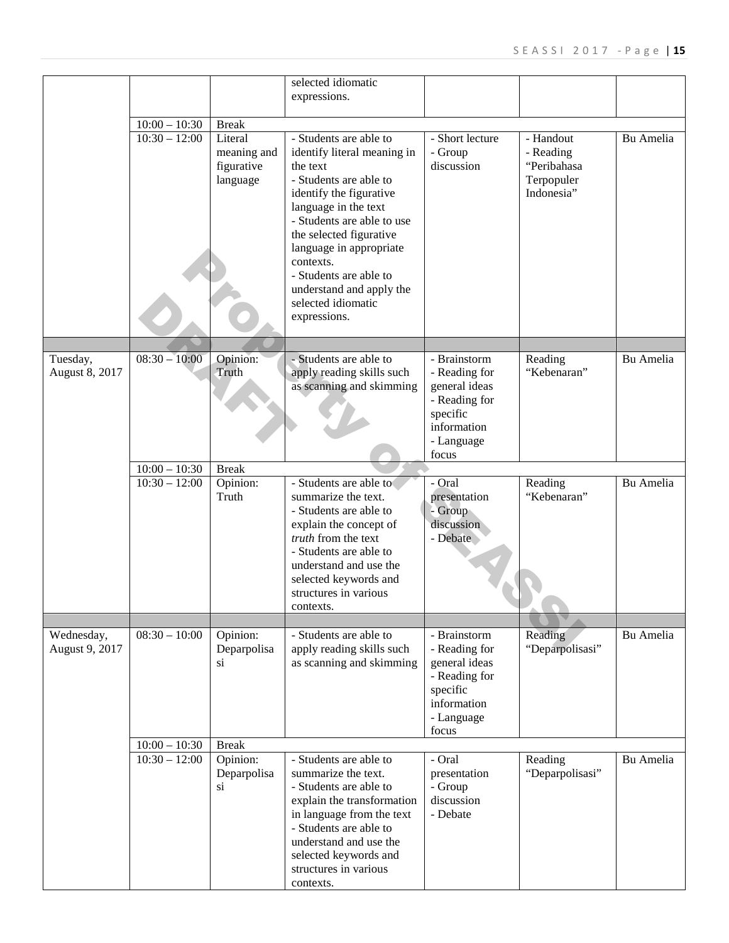|                              |                            |                                                  | selected idiomatic<br>expressions.                                                                                                                                                                                                                                                                    |                                                                                                                   |                                                                   |           |
|------------------------------|----------------------------|--------------------------------------------------|-------------------------------------------------------------------------------------------------------------------------------------------------------------------------------------------------------------------------------------------------------------------------------------------------------|-------------------------------------------------------------------------------------------------------------------|-------------------------------------------------------------------|-----------|
|                              |                            |                                                  |                                                                                                                                                                                                                                                                                                       |                                                                                                                   |                                                                   |           |
|                              | $10:00 - 10:30$            | <b>Break</b>                                     |                                                                                                                                                                                                                                                                                                       |                                                                                                                   |                                                                   |           |
|                              | $\overline{10:30} - 12:00$ | Literal<br>meaning and<br>figurative<br>language | - Students are able to<br>identify literal meaning in<br>the text<br>- Students are able to<br>identify the figurative<br>language in the text<br>- Students are able to use<br>the selected figurative<br>language in appropriate<br>contexts.<br>- Students are able to<br>understand and apply the | - Short lecture<br>- Group<br>discussion                                                                          | - Handout<br>- Reading<br>"Peribahasa<br>Terpopuler<br>Indonesia" | Bu Amelia |
|                              |                            |                                                  | selected idiomatic<br>expressions.                                                                                                                                                                                                                                                                    |                                                                                                                   |                                                                   |           |
| Tuesday,                     | $08:30 - 10:00$            | Opinion:                                         | - Students are able to                                                                                                                                                                                                                                                                                | - Brainstorm                                                                                                      | Reading                                                           | Bu Amelia |
| August 8, 2017               |                            | Truth                                            | apply reading skills such<br>as scanning and skimming                                                                                                                                                                                                                                                 | - Reading for<br>general ideas<br>- Reading for<br>specific<br>information<br>- Language<br>focus                 | "Kebenaran"                                                       |           |
|                              | $10:00 - 10:30$            | <b>Break</b>                                     |                                                                                                                                                                                                                                                                                                       |                                                                                                                   |                                                                   |           |
|                              | $10:30 - 12:00$            | Opinion:<br>Truth                                | - Students are able to<br>summarize the text.<br>- Students are able to<br>explain the concept of<br>truth from the text<br>- Students are able to<br>understand and use the<br>selected keywords and<br>structures in various<br>contexts.                                                           | - Oral<br>presentation<br>- Group<br>discussion<br>- Debate                                                       | Reading<br>"Kebenaran"                                            | Bu Amelia |
|                              |                            |                                                  |                                                                                                                                                                                                                                                                                                       |                                                                                                                   |                                                                   |           |
| Wednesday,<br>August 9, 2017 | $08:30 - 10:00$            | Opinion:<br>Deparpolisa<br>si                    | - Students are able to<br>apply reading skills such<br>as scanning and skimming                                                                                                                                                                                                                       | - Brainstorm<br>- Reading for<br>general ideas<br>- Reading for<br>specific<br>information<br>- Language<br>focus | Reading<br>"Deparpolisasi"                                        | Bu Amelia |
|                              | $10:00 - 10:30$            | <b>Break</b>                                     |                                                                                                                                                                                                                                                                                                       |                                                                                                                   |                                                                   |           |
|                              | $10:30 - 12:00$            | Opinion:<br>Deparpolisa<br>si                    | - Students are able to<br>summarize the text.<br>- Students are able to<br>explain the transformation<br>in language from the text<br>- Students are able to<br>understand and use the<br>selected keywords and<br>structures in various<br>contexts.                                                 | - Oral<br>presentation<br>- Group<br>discussion<br>- Debate                                                       | Reading<br>"Deparpolisasi"                                        | Bu Amelia |